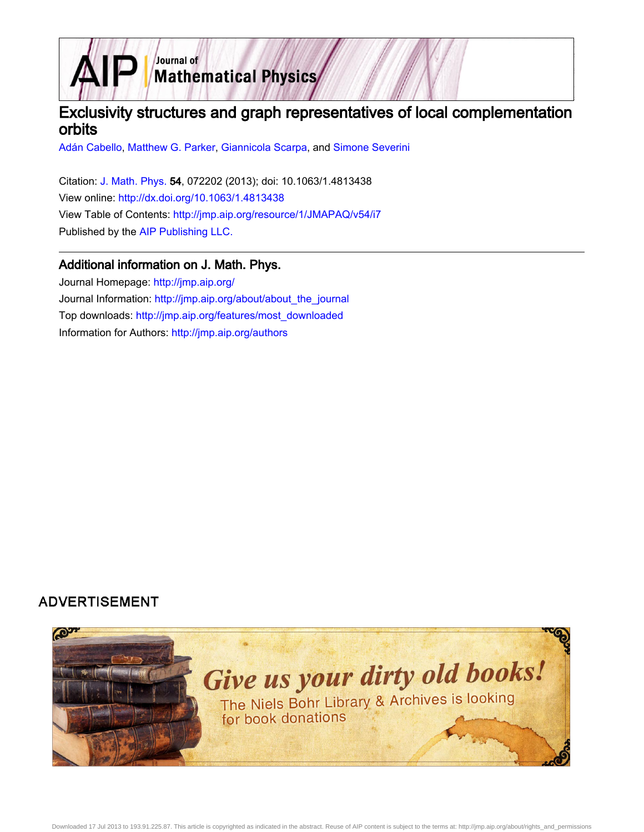

# Exclusivity structures and graph representatives of local complementation orbits

[Adán Cabello](http://jmp.aip.org/search?sortby=newestdate&q=&searchzone=2&searchtype=searchin&faceted=faceted&key=AIP_ALL&possible1=Ad�n Cabello&possible1zone=author&alias=&displayid=AIP&ver=pdfcov), [Matthew G. Parker,](http://jmp.aip.org/search?sortby=newestdate&q=&searchzone=2&searchtype=searchin&faceted=faceted&key=AIP_ALL&possible1=Matthew G. Parker&possible1zone=author&alias=&displayid=AIP&ver=pdfcov) [Giannicola Scarpa](http://jmp.aip.org/search?sortby=newestdate&q=&searchzone=2&searchtype=searchin&faceted=faceted&key=AIP_ALL&possible1=Giannicola Scarpa&possible1zone=author&alias=&displayid=AIP&ver=pdfcov), and [Simone Severini](http://jmp.aip.org/search?sortby=newestdate&q=&searchzone=2&searchtype=searchin&faceted=faceted&key=AIP_ALL&possible1=Simone Severini&possible1zone=author&alias=&displayid=AIP&ver=pdfcov)

Citation: [J. Math. Phys.](http://jmp.aip.org/?ver=pdfcov) 54, 072202 (2013); doi: 10.1063/1.4813438 View online: [http://dx.doi.org/10.1063/1.4813438](http://link.aip.org/link/doi/10.1063/1.4813438?ver=pdfcov) View Table of Contents: [http://jmp.aip.org/resource/1/JMAPAQ/v54/i7](http://jmp.aip.org/resource/1/JMAPAQ/v54/i7?ver=pdfcov) Published by the [AIP Publishing LLC.](http://www.aip.org/?ver=pdfcov)

## Additional information on J. Math. Phys.

Journal Homepage: [http://jmp.aip.org/](http://jmp.aip.org/?ver=pdfcov) Journal Information: [http://jmp.aip.org/about/about\\_the\\_journal](http://jmp.aip.org/about/about_the_journal?ver=pdfcov) Top downloads: [http://jmp.aip.org/features/most\\_downloaded](http://jmp.aip.org/features/most_downloaded?ver=pdfcov) Information for Authors: [http://jmp.aip.org/authors](http://jmp.aip.org/authors?ver=pdfcov)

## **ADVERTISEMENT**

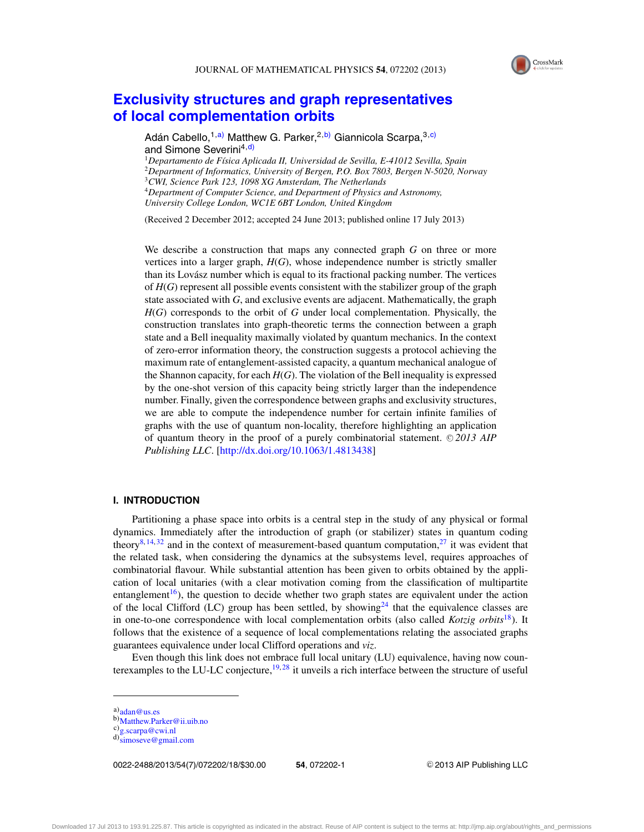

## **[Exclusivity structures and graph representatives](http://dx.doi.org/10.1063/1.4813438) [of local complementation orbits](http://dx.doi.org/10.1063/1.4813438)**

Adán Cabello, <sup>1,a)</sup> Matthew G. Parker, <sup>2,b)</sup> Giannicola Scarpa, 3,c) and Simone Severini<sup>4, d)</sup>

*Departamento de F´ısica Aplicada II, Universidad de Sevilla, E-41012 Sevilla, Spain Department of Informatics, University of Bergen, P.O. Box 7803, Bergen N-5020, Norway CWI, Science Park 123, 1098 XG Amsterdam, The Netherlands Department of Computer Science, and Department of Physics and Astronomy, University College London, WC1E 6BT London, United Kingdom*

(Received 2 December 2012; accepted 24 June 2013; published online 17 July 2013)

We describe a construction that maps any connected graph *G* on three or more vertices into a larger graph, *H*(*G*), whose independence number is strictly smaller than its Lovász number which is equal to its fractional packing number. The vertices of *H*(*G*) represent all possible events consistent with the stabilizer group of the graph state associated with *G*, and exclusive events are adjacent. Mathematically, the graph *H*(*G*) corresponds to the orbit of *G* under local complementation. Physically, the construction translates into graph-theoretic terms the connection between a graph state and a Bell inequality maximally violated by quantum mechanics. In the context of zero-error information theory, the construction suggests a protocol achieving the maximum rate of entanglement-assisted capacity, a quantum mechanical analogue of the Shannon capacity, for each *H*(*G*). The violation of the Bell inequality is expressed by the one-shot version of this capacity being strictly larger than the independence number. Finally, given the correspondence between graphs and exclusivity structures, we are able to compute the independence number for certain infinite families of graphs with the use of quantum non-locality, therefore highlighting an application of quantum theory in the proof of a purely combinatorial statement. © 2013 AIP *Publishing LLC*. [\[http://dx.doi.org/10.1063/1.4813438\]](http://dx.doi.org/10.1063/1.4813438)

#### **I. INTRODUCTION**

Partitioning a phase space into orbits is a central step in the study of any physical or formal dynamics. Immediately after the introduction of graph (or stabilizer) states in quantum coding theory<sup>8, [14,](#page-17-0) [32](#page-18-0)</sup> and in the context of measurement-based quantum computation,<sup>27</sup> it was evident that the related task, when considering the dynamics at the subsystems level, requires approaches of combinatorial flavour. While substantial attention has been given to orbits obtained by the application of local unitaries (with a clear motivation coming from the classification of multipartite entanglement<sup>16</sup>), the question to decide whether two graph states are equivalent under the action of the local Clifford (LC) group has been settled, by showing<sup>[24](#page-17-0)</sup> that the equivalence classes are in one-to-one correspondence with local complementation orbits (also called *Kotzig orbits*[18\)](#page-17-0). It follows that the existence of a sequence of local complementations relating the associated graphs guarantees equivalence under local Clifford operations and *viz*.

Even though this link does not embrace full local unitary (LU) equivalence, having now counterexamples to the LU-LC conjecture,  $19,28$  $19,28$  it unveils a rich interface between the structure of useful

0022-2488/2013/54(7)/072202/18/\$30.00 **54**, 072202-1 -

<sup>C</sup> 2013 AIP Publishing LLC

a) adan@us.es

b) Matthew.Parker@ii.uib.no<br>c) g.scarpa@cwi.nl

 $\omega_{\text{simoseve}}$ @gmail.com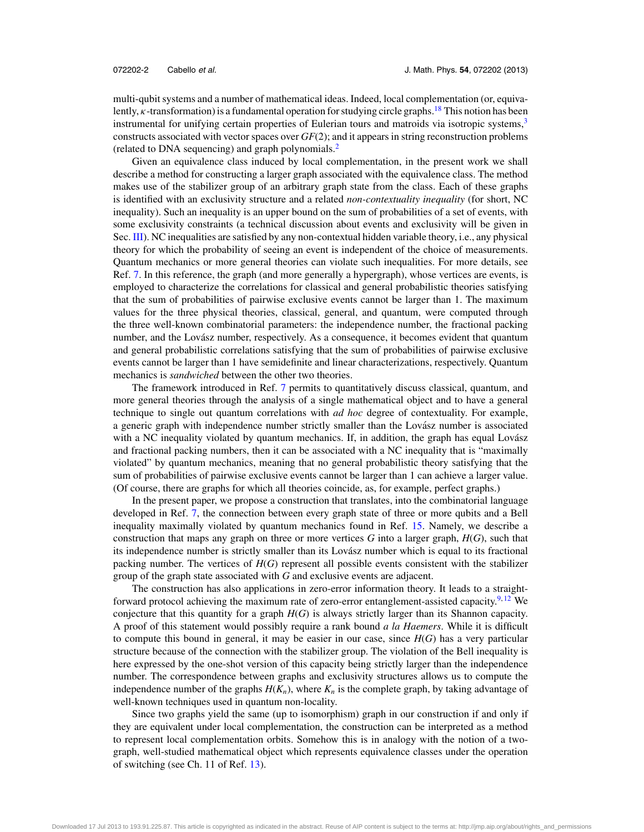multi-qubit systems and a number of mathematical ideas. Indeed, local complementation (or, equivalently, κ-transformation) is a fundamental operation for studying circle graphs[.18](#page-17-0) This notion has been instrumental for unifying certain properties of Eulerian tours and matroids via isotropic systems,<sup>[3](#page-17-0)</sup> constructs associated with vector spaces over *GF*(2); and it appears in string reconstruction problems (related to DNA sequencing) and graph polynomials.[2](#page-17-0)

Given an equivalence class induced by local complementation, in the present work we shall describe a method for constructing a larger graph associated with the equivalence class. The method makes use of the stabilizer group of an arbitrary graph state from the class. Each of these graphs is identified with an exclusivity structure and a related *non-contextuality inequality* (for short, NC inequality). Such an inequality is an upper bound on the sum of probabilities of a set of events, with some exclusivity constraints (a technical discussion about events and exclusivity will be given in Sec. [III\)](#page-6-0). NC inequalities are satisfied by any non-contextual hidden variable theory, i.e., any physical theory for which the probability of seeing an event is independent of the choice of measurements. Quantum mechanics or more general theories can violate such inequalities. For more details, see Ref. [7.](#page-17-0) In this reference, the graph (and more generally a hypergraph), whose vertices are events, is employed to characterize the correlations for classical and general probabilistic theories satisfying that the sum of probabilities of pairwise exclusive events cannot be larger than 1. The maximum values for the three physical theories, classical, general, and quantum, were computed through the three well-known combinatorial parameters: the independence number, the fractional packing number, and the Lovász number, respectively. As a consequence, it becomes evident that quantum and general probabilistic correlations satisfying that the sum of probabilities of pairwise exclusive events cannot be larger than 1 have semidefinite and linear characterizations, respectively. Quantum mechanics is *sandwiched* between the other two theories.

The framework introduced in Ref. [7](#page-17-0) permits to quantitatively discuss classical, quantum, and more general theories through the analysis of a single mathematical object and to have a general technique to single out quantum correlations with *ad hoc* degree of contextuality. For example, a generic graph with independence number strictly smaller than the Lovász number is associated with a NC inequality violated by quantum mechanics. If, in addition, the graph has equal Lovász and fractional packing numbers, then it can be associated with a NC inequality that is "maximally violated" by quantum mechanics, meaning that no general probabilistic theory satisfying that the sum of probabilities of pairwise exclusive events cannot be larger than 1 can achieve a larger value. (Of course, there are graphs for which all theories coincide, as, for example, perfect graphs.)

In the present paper, we propose a construction that translates, into the combinatorial language developed in Ref. [7,](#page-17-0) the connection between every graph state of three or more qubits and a Bell inequality maximally violated by quantum mechanics found in Ref. [15.](#page-17-0) Namely, we describe a construction that maps any graph on three or more vertices  $G$  into a larger graph,  $H(G)$ , such that its independence number is strictly smaller than its Lovász number which is equal to its fractional packing number. The vertices of  $H(G)$  represent all possible events consistent with the stabilizer group of the graph state associated with *G* and exclusive events are adjacent.

The construction has also applications in zero-error information theory. It leads to a straight-forward protocol achieving the maximum rate of zero-error entanglement-assisted capacity.<sup>9, [12](#page-17-0)</sup> We conjecture that this quantity for a graph *H*(*G*) is always strictly larger than its Shannon capacity. A proof of this statement would possibly require a rank bound *a la Haemers*. While it is difficult to compute this bound in general, it may be easier in our case, since  $H(G)$  has a very particular structure because of the connection with the stabilizer group. The violation of the Bell inequality is here expressed by the one-shot version of this capacity being strictly larger than the independence number. The correspondence between graphs and exclusivity structures allows us to compute the independence number of the graphs  $H(K_n)$ , where  $K_n$  is the complete graph, by taking advantage of well-known techniques used in quantum non-locality.

Since two graphs yield the same (up to isomorphism) graph in our construction if and only if they are equivalent under local complementation, the construction can be interpreted as a method to represent local complementation orbits. Somehow this is in analogy with the notion of a twograph, well-studied mathematical object which represents equivalence classes under the operation of switching (see Ch. 11 of Ref. [13\)](#page-17-0).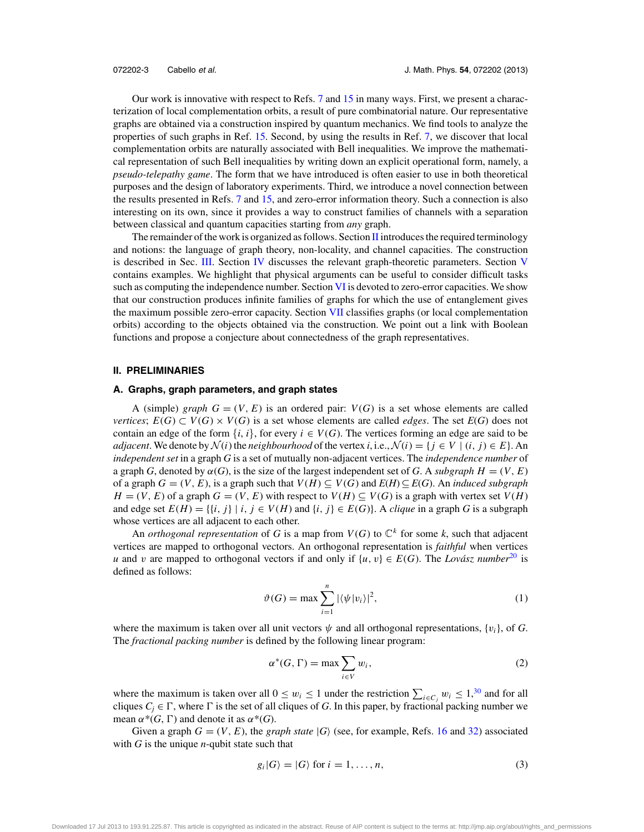<span id="page-3-0"></span>Our work is innovative with respect to Refs. [7](#page-17-0) and [15](#page-17-0) in many ways. First, we present a characterization of local complementation orbits, a result of pure combinatorial nature. Our representative graphs are obtained via a construction inspired by quantum mechanics. We find tools to analyze the properties of such graphs in Ref. [15.](#page-17-0) Second, by using the results in Ref. [7,](#page-17-0) we discover that local complementation orbits are naturally associated with Bell inequalities. We improve the mathematical representation of such Bell inequalities by writing down an explicit operational form, namely, a *pseudo-telepathy game*. The form that we have introduced is often easier to use in both theoretical purposes and the design of laboratory experiments. Third, we introduce a novel connection between the results presented in Refs. [7](#page-17-0) and [15,](#page-17-0) and zero-error information theory. Such a connection is also interesting on its own, since it provides a way to construct families of channels with a separation between classical and quantum capacities starting from *any* graph.

The remainder of the work is organized as follows. Section II introduces the required terminology and notions: the language of graph theory, non-locality, and channel capacities. The construction is described in Sec. [III.](#page-6-0) Section [IV](#page-9-0) discusses the relevant graph-theoretic parameters. Section [V](#page-12-0) contains examples. We highlight that physical arguments can be useful to consider difficult tasks such as computing the independence number. Section [VI](#page-12-0) is devoted to zero-error capacities. We show that our construction produces infinite families of graphs for which the use of entanglement gives the maximum possible zero-error capacity. Section [VII](#page-14-0) classifies graphs (or local complementation orbits) according to the objects obtained via the construction. We point out a link with Boolean functions and propose a conjecture about connectedness of the graph representatives.

#### **II. PRELIMINARIES**

#### **A. Graphs, graph parameters, and graph states**

A (simple) *graph*  $G = (V, E)$  is an ordered pair:  $V(G)$  is a set whose elements are called *vertices*;  $E(G) \subset V(G) \times V(G)$  is a set whose elements are called *edges*. The set  $E(G)$  does not contain an edge of the form  $\{i, i\}$ , for every  $i \in V(G)$ . The vertices forming an edge are said to be *adjacent*. We denote by  $\mathcal{N}(i)$  the *neighbourhood* of the vertex *i*, i.e.,  $\mathcal{N}(i) = \{j \in V \mid (i, j) \in E\}$ . An *independent set* in a graph *G* is a set of mutually non-adjacent vertices. The *independence number* of a graph *G*, denoted by  $\alpha(G)$ , is the size of the largest independent set of *G*. A *subgraph*  $H = (V, E)$ of a graph  $G = (V, E)$ , is a graph such that  $V(H) \subseteq V(G)$  and  $E(H) \subseteq E(G)$ . An *induced subgraph*  $H = (V, E)$  of a graph  $G = (V, E)$  with respect to  $V(H) \subseteq V(G)$  is a graph with vertex set  $V(H)$ and edge set  $E(H) = \{\{i, j\} | i, j \in V(H) \text{ and } \{i, j\} \in E(G)\}\$ . A *clique* in a graph *G* is a subgraph whose vertices are all adjacent to each other.

An *orthogonal representation* of *G* is a map from  $V(G)$  to  $\mathbb{C}^k$  for some *k*, such that adjacent vertices are mapped to orthogonal vectors. An orthogonal representation is *faithful* when vertices *u* and *v* are mapped to orthogonal vectors if and only if  $\{u, v\} \in E(G)$ . The *Lovász number*<sup>[20](#page-17-0)</sup> is defined as follows:

$$
\vartheta(G) = \max \sum_{i=1}^{n} |\langle \psi | v_i \rangle|^2,
$$
\n(1)

where the maximum is taken over all unit vectors  $\psi$  and all orthogonal representations,  $\{v_i\}$ , of *G*. The *fractional packing number* is defined by the following linear program:

$$
\alpha^*(G, \Gamma) = \max \sum_{i \in V} w_i,
$$
\n(2)

where the maximum is taken over all  $0 \le w_i \le 1$  under the restriction  $\sum_{i \in C_j} w_i \le 1$ ,<sup>[30](#page-18-0)</sup> and for all cliques  $C_i \in \Gamma$ , where  $\Gamma$  is the set of all cliques of *G*. In this paper, by fractional packing number we mean  $\alpha^*(G, \Gamma)$  and denote it as  $\alpha^*(G)$ .

Given a graph  $G = (V, E)$ , the *graph state*  $|G\rangle$  (see, for example, Refs. [16](#page-17-0) and [32\)](#page-18-0) associated with *G* is the unique *n*-qubit state such that

$$
g_i|G\rangle = |G\rangle \text{ for } i = 1, \dots, n,
$$
\n(3)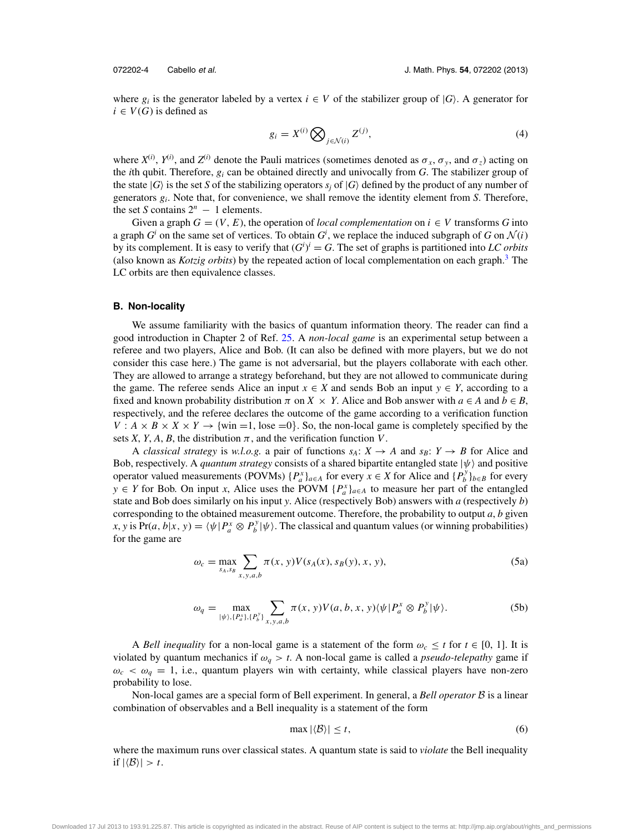where  $g_i$  is the generator labeled by a vertex  $i \in V$  of the stabilizer group of  $|G\rangle$ . A generator for  $i \in V(G)$  is defined as

$$
g_i = X^{(i)} \bigotimes_{j \in \mathcal{N}(i)} Z^{(j)},\tag{4}
$$

where  $X^{(i)}$ ,  $Y^{(i)}$ , and  $Z^{(i)}$  denote the Pauli matrices (sometimes denoted as  $\sigma_x$ ,  $\sigma_y$ , and  $\sigma_z$ ) acting on the *i*th qubit. Therefore, *gi* can be obtained directly and univocally from *G*. The stabilizer group of the state  $|G\rangle$  is the set *S* of the stabilizing operators  $s_j$  of  $|G\rangle$  defined by the product of any number of generators *gi*. Note that, for convenience, we shall remove the identity element from *S*. Therefore, the set *S* contains  $2^n - 1$  elements.

Given a graph  $G = (V, E)$ , the operation of *local complementation* on  $i \in V$  transforms G into a graph  $G^i$  on the same set of vertices. To obtain  $G^i$ , we replace the induced subgraph of  $G$  on  $\mathcal{N}(i)$ by its complement. It is easy to verify that  $(G<sup>i</sup>)<sup>i</sup> = G$ . The set of graphs is partitioned into *LC orbits* (also known as *Kotzig orbits*) by the repeated action of local complementation on each graph.[3](#page-17-0) The LC orbits are then equivalence classes.

#### **B. Non-locality**

We assume familiarity with the basics of quantum information theory. The reader can find a good introduction in Chapter 2 of Ref. [25.](#page-17-0) A *non-local game* is an experimental setup between a referee and two players, Alice and Bob. (It can also be defined with more players, but we do not consider this case here.) The game is not adversarial, but the players collaborate with each other. They are allowed to arrange a strategy beforehand, but they are not allowed to communicate during the game. The referee sends Alice an input  $x \in X$  and sends Bob an input  $y \in Y$ , according to a fixed and known probability distribution  $\pi$  on  $X \times Y$ . Alice and Bob answer with  $a \in A$  and  $b \in B$ , respectively, and the referee declares the outcome of the game according to a verification function  $V: A \times B \times X \times Y \rightarrow \{win =1, \text{lose}=0\}$ . So, the non-local game is completely specified by the sets *X*, *Y*, *A*, *B*, the distribution  $\pi$ , and the verification function *V*.

A *classical strategy* is *w.l.o.g.* a pair of functions  $s_A: X \to A$  and  $s_B: Y \to B$  for Alice and Bob, respectively. A *quantum strategy* consists of a shared bipartite entangled state  $|\psi\rangle$  and positive operator valued measurements (POVMs)  $\{P_a^x\}_{a \in A}$  for every  $x \in X$  for Alice and  $\{P_b^y\}_{b \in B}$  for every *y* ∈ *Y* for Bob. On input *x*, Alice uses the POVM  $\{P_a^x\}_{a \in A}$  to measure her part of the entangled state and Bob does similarly on his input *y*. Alice (respectively Bob) answers with *a* (respectively *b*) corresponding to the obtained measurement outcome. Therefore, the probability to output *a*, *b* given *x*, *y* is Pr(*a*, *b*|*x*, *y*) =  $\langle \psi | P_a^x \otimes P_b^y | \psi \rangle$ . The classical and quantum values (or winning probabilities) for the game are

$$
\omega_c = \max_{s_A, s_B} \sum_{x, y, a, b} \pi(x, y) V(s_A(x), s_B(y), x, y),
$$
 (5a)

$$
\omega_q = \max_{|\psi\rangle, \{P_a^x\}, \{P_b^y\}} \sum_{x, y, a, b} \pi(x, y) V(a, b, x, y) \langle \psi | P_a^x \otimes P_b^y | \psi \rangle.
$$
 (5b)

A *Bell inequality* for a non-local game is a statement of the form  $\omega_c \leq t$  for  $t \in [0, 1]$ . It is violated by quantum mechanics if  $\omega_q > t$ . A non-local game is called a *pseudo-telepathy* game if  $\omega_c < \omega_q = 1$ , i.e., quantum players win with certainty, while classical players have non-zero probability to lose.

Non-local games are a special form of Bell experiment. In general, a *Bell operator* B is a linear combination of observables and a Bell inequality is a statement of the form

$$
\max |\langle \mathcal{B} \rangle| \le t,\tag{6}
$$

where the maximum runs over classical states. A quantum state is said to *violate* the Bell inequality if  $|\langle \mathcal{B} \rangle| > t$ .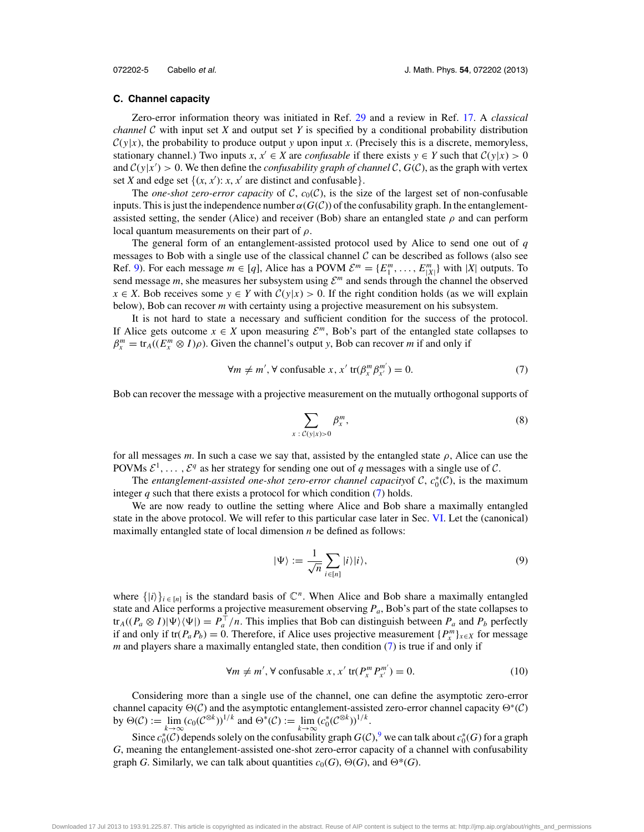#### **C. Channel capacity**

Zero-error information theory was initiated in Ref. [29](#page-18-0) and a review in Ref. [17.](#page-17-0) A *classical channel* C with input set *X* and output set *Y* is specified by a conditional probability distribution  $\mathcal{C}(y|x)$ , the probability to produce output y upon input x. (Precisely this is a discrete, memoryless, stationary channel.) Two inputs *x*,  $x' \in X$  are *confusable* if there exists  $y \in Y$  such that  $C(y|x) > 0$ and  $C(y|x') > 0$ . We then define the *confusability graph of channel* C,  $G(C)$ , as the graph with vertex set *X* and edge set  $\{(x, x') : x, x' \text{ are distinct and confusable}\}.$ 

The *one-shot zero-error capacity* of C,  $c_0(C)$ , is the size of the largest set of non-confusable inputs. This is just the independence number  $\alpha(G(\mathcal{C}))$  of the confusability graph. In the entanglementassisted setting, the sender (Alice) and receiver (Bob) share an entangled state  $\rho$  and can perform local quantum measurements on their part of  $\rho$ .

The general form of an entanglement-assisted protocol used by Alice to send one out of *q* messages to Bob with a single use of the classical channel  $\mathcal C$  can be described as follows (also see Ref. [9\)](#page-17-0). For each message  $m \in [q]$ , Alice has a POVM  $\mathcal{E}^m = \{E_1^m, \ldots, E_{|X|}^m\}$  with  $|X|$  outputs. To send message  $m$ , she measures her subsystem using  $\mathcal{E}^m$  and sends through the channel the observed  $x \in X$ . Bob receives some  $y \in Y$  with  $C(y|x) > 0$ . If the right condition holds (as we will explain below), Bob can recover *m* with certainty using a projective measurement on his subsystem.

It is not hard to state a necessary and sufficient condition for the success of the protocol. If Alice gets outcome  $x \in X$  upon measuring  $\mathcal{E}^m$ , Bob's part of the entangled state collapses to  $\beta_x^m = \text{tr}_A((E_x^m \otimes I)\rho)$ . Given the channel's output *y*, Bob can recover *m* if and only if

$$
\forall m \neq m', \forall \text{ confusable } x, x' \operatorname{tr}(\beta_x^m \beta_{x'}^{m'}) = 0. \tag{7}
$$

Bob can recover the message with a projective measurement on the mutually orthogonal supports of

$$
\sum_{x \,:\, \mathcal{C}(y|x) > 0} \beta_x^m,\tag{8}
$$

for all messages *m*. In such a case we say that, assisted by the entangled state  $\rho$ , Alice can use the POVMs  $\mathcal{E}^1, \ldots, \mathcal{E}^q$  as her strategy for sending one out of *q* messages with a single use of C.

The *entanglement-assisted one-shot zero-error channel capacityof*  $C$ *,*  $c_0^*(C)$ *, is the maximum* integer  $q$  such that there exists a protocol for which condition  $(7)$  holds.

We are now ready to outline the setting where Alice and Bob share a maximally entangled state in the above protocol. We will refer to this particular case later in Sec. [VI.](#page-12-0) Let the (canonical) maximally entangled state of local dimension *n* be defined as follows:

$$
|\Psi\rangle := \frac{1}{\sqrt{n}} \sum_{i \in [n]} |i\rangle |i\rangle,\tag{9}
$$

where  $\{|i\rangle\}_{i \in [n]}$  is the standard basis of  $\mathbb{C}^n$ . When Alice and Bob share a maximally entangled state and Alice performs a projective measurement observing  $P_a$ , Bob's part of the state collapses to  $tr_A((P_a \otimes I)|\Psi\rangle\langle\Psi|) = P_a^{\top}/n$ . This implies that Bob can distinguish between  $P_a$  and  $P_b$  perfectly if and only if  $tr(P_a P_b) = 0$ . Therefore, if Alice uses projective measurement  $\{P_x^m\}_{x \in X}$  for message *m* and players share a maximally entangled state, then condition (7) is true if and only if

$$
\forall m \neq m', \forall \text{ confusable } x, x' \text{ tr}(P_x^m P_{x'}^{m'}) = 0. \tag{10}
$$

Considering more than a single use of the channel, one can define the asymptotic zero-error channel capacity  $\Theta(C)$  and the asymptotic entanglement-assisted zero-error channel capacity  $\Theta^*(C)$ by  $\Theta(\mathcal{C}) := \lim_{k \to \infty} (c_0(\mathcal{C}^{\otimes k}))^{1/k}$  and  $\Theta^*(\mathcal{C}) := \lim_{k \to \infty} (c_0^*(\mathcal{C}^{\otimes k}))^{1/k}$ .

Since  $c_0^*(C)$  depends solely on the confusability graph  $G(C)$ ,<sup>[9](#page-17-0)</sup> we can talk about  $c_0^*(G)$  for a graph *G*, meaning the entanglement-assisted one-shot zero-error capacity of a channel with confusability graph *G*. Similarly, we can talk about quantities  $c_0(G)$ ,  $\Theta(G)$ , and  $\Theta^*(G)$ .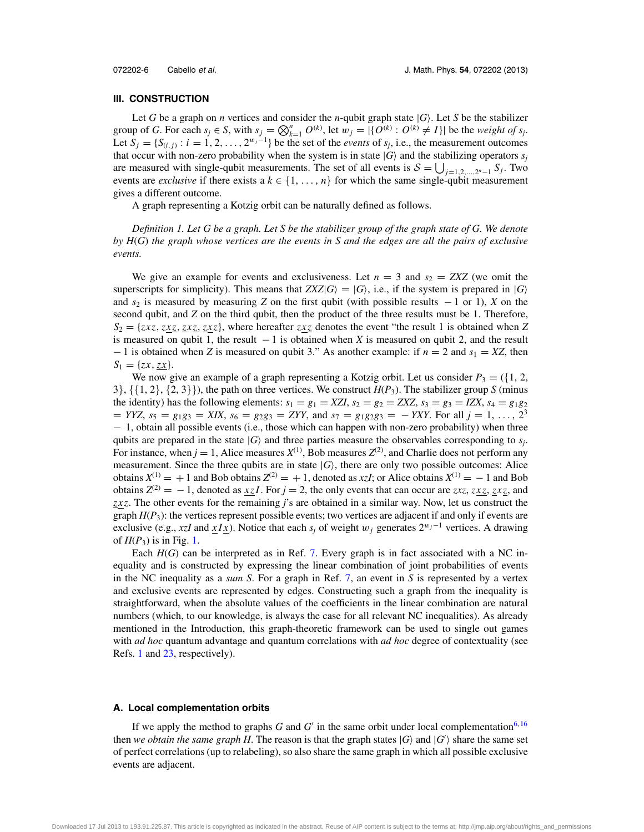<span id="page-6-0"></span>

#### **III. CONSTRUCTION**

Let *G* be a graph on *n* vertices and consider the *n*-qubit graph state  $|G\rangle$ . Let *S* be the stabilizer group of *G*. For each  $s_j \in S$ , with  $s_j = \bigotimes_{k=1}^n O^{(k)}$ , let  $w_j = |\{O^{(k)} : O^{(k)} \neq I\}|$  be the *weight of s<sub>j</sub>*. Let  $S_j = \{S_{(i,j)} : i = 1, 2, ..., 2^{w_j-1}\}\$  be the set of the *events* of  $s_j$ , i.e., the measurement outcomes that occur with non-zero probability when the system is in state  $|G\rangle$  and the stabilizing operators  $s_i$ are measured with single-qubit measurements. The set of all events is  $S = \bigcup_{j=1,2,\dots,2^n-1} S_j$ . Two events are *exclusive* if there exists a  $k \in \{1, \ldots, n\}$  for which the same single-qubit measurement gives a different outcome.

A graph representing a Kotzig orbit can be naturally defined as follows.

*Definition 1. Let G be a graph. Let S be the stabilizer group of the graph state of G. We denote by H*(*G*) *the graph whose vertices are the events in S and the edges are all the pairs of exclusive events.*

We give an example for events and exclusiveness. Let  $n = 3$  and  $s_2 = ZXZ$  (we omit the superscripts for simplicity). This means that  $ZXZ|G\rangle = |G\rangle$ , i.e., if the system is prepared in  $|G\rangle$ and  $s_2$  is measured by measuring *Z* on the first qubit (with possible results  $-1$  or 1), *X* on the second qubit, and *Z* on the third qubit, then the product of the three results must be 1. Therefore,  $S_2 = \{zxz, zxz, zxz, zxz\}$ , where hereafter  $zxz$  denotes the event "the result 1 is obtained when *Z* is measured on qubit 1, the result  $-1$  is obtained when *X* is measured on qubit 2, and the result  $-1$  is obtained when *Z* is measured on qubit 3." As another example: if  $n = 2$  and  $s_1 = XZ$ , then  $S_1 = \{zx, zx\}.$ 

We now give an example of a graph representing a Kotzig orbit. Let us consider  $P_3 = (\{1, 2, \ldots, 2\})$ 3},  $\{\{1, 2\}, \{2, 3\}\}\)$ , the path on three vertices. We construct  $H(P_3)$ . The stabilizer group *S* (minus the identity) has the following elements:  $s_1 = g_1 = XZI$ ,  $s_2 = g_2 = ZXZ$ ,  $s_3 = g_3 = IZX$ ,  $s_4 = g_1g_2$  $= YYZ$ ,  $s_5 = g_1g_3 = XIX$ ,  $s_6 = g_2g_3 = ZYY$ , and  $s_7 = g_1g_2g_3 = -YXY$ . For all  $j = 1, ..., 2^3$ − 1, obtain all possible events (i.e., those which can happen with non-zero probability) when three qubits are prepared in the state  $|G\rangle$  and three parties measure the observables corresponding to  $s_i$ . For instance, when  $j = 1$ , Alice measures  $X^{(1)}$ , Bob measures  $Z^{(2)}$ , and Charlie does not perform any measurement. Since the three qubits are in state  $|G\rangle$ , there are only two possible outcomes: Alice obtains  $X^{(1)} = +1$  and Bob obtains  $Z^{(2)} = +1$ , denoted as *xzI*; or Alice obtains  $X^{(1)} = -1$  and Bob obtains  $Z^{(2)} = -1$ , denoted as *xzI*. For  $j = 2$ , the only events that can occur are *zxz*, *zxz*, *zxz*, and *zxz*. The other events for the remaining *j*'s are obtained in a similar way. Now, let us construct the graph  $H(P_3)$ : the vertices represent possible events; two vertices are adjacent if and only if events are exclusive (e.g., *xzI* and *xIx*). Notice that each  $s_j$  of weight w<sub>j</sub> generates  $2^{w_j-1}$  vertices. A drawing of  $H(P_3)$  is in Fig. [1.](#page-7-0)

Each  $H(G)$  can be interpreted as in Ref. [7.](#page-17-0) Every graph is in fact associated with a NC inequality and is constructed by expressing the linear combination of joint probabilities of events in the NC inequality as a *sum S*. For a graph in Ref. [7,](#page-17-0) an event in *S* is represented by a vertex and exclusive events are represented by edges. Constructing such a graph from the inequality is straightforward, when the absolute values of the coefficients in the linear combination are natural numbers (which, to our knowledge, is always the case for all relevant NC inequalities). As already mentioned in the Introduction, this graph-theoretic framework can be used to single out games with *ad hoc* quantum advantage and quantum correlations with *ad hoc* degree of contextuality (see Refs. [1](#page-17-0) and [23,](#page-17-0) respectively).

#### **A. Local complementation orbits**

If we apply the method to graphs *G* and *G'* in the same orbit under local complementation<sup>6, [16](#page-17-0)</sup> then *we obtain the same graph H*. The reason is that the graph states  $|G\rangle$  and  $|G'\rangle$  share the same set of perfect correlations (up to relabeling), so also share the same graph in which all possible exclusive events are adjacent.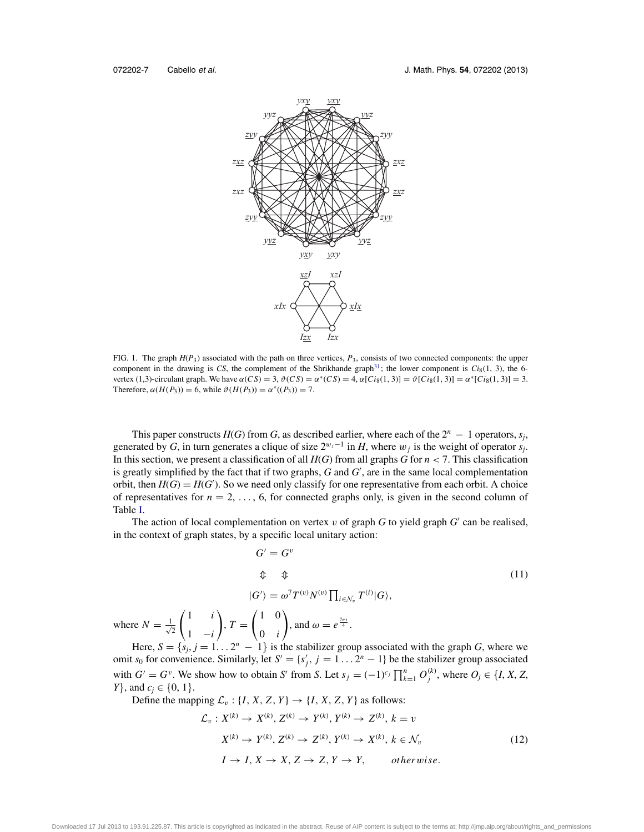<span id="page-7-0"></span>



FIG. 1. The graph  $H(P_3)$  associated with the path on three vertices,  $P_3$ , consists of two connected components: the upper component in the drawing is *CS*, the complement of the Shrikhande graph<sup>31</sup>; the lower component is  $Ci_8(1, 3)$ , the 6vertex (1,3)-circulant graph. We have  $α(CS) = 3$ ,  $θ(CS) = α*(CS) = 4$ ,  $α[Ci_8(1, 3)] = ∅[Ci_8(1, 3)] = α*(Ci_8(1, 3)] = 3$ . Therefore,  $\alpha(H(P_3)) = 6$ , while  $\vartheta(H(P_3)) = \alpha^*((P_3)) = 7$ .

This paper constructs  $H(G)$  from *G*, as described earlier, where each of the  $2^n - 1$  operators,  $s_i$ , generated by *G*, in turn generates a clique of size  $2^{w_j-1}$  in *H*, where w<sub>*j*</sub> is the weight of operator *s<sub>i</sub>*. In this section, we present a classification of all  $H(G)$  from all graphs *G* for  $n < 7$ . This classification is greatly simplified by the fact that if two graphs, *G* and *G* , are in the same local complementation orbit, then  $H(G) = H(G')$ . So we need only classify for one representative from each orbit. A choice of representatives for  $n = 2, \ldots, 6$ , for connected graphs only, is given in the second column of Table [I.](#page-8-0)

The action of local complementation on vertex  $v$  of graph  $G$  to yield graph  $G'$  can be realised, in the context of graph states, by a specific local unitary action:

$$
G' = G^v
$$
  
\n
$$
\oint \oint
$$
  
\n
$$
|G'\rangle = \omega^7 T^{(v)} N^{(v)} \prod_{i \in \mathcal{N}_v} T^{(i)} |G\rangle,
$$
\n(11)

where  $N = \frac{1}{\sqrt{2}}$ 2  $\sqrt{1}$  *i* 1 −*i*  $\setminus$  $, T =$  $(1 \ 0)$ 0 *i*  $\setminus$ , and  $\omega = e^{\frac{7\pi i}{4}}$ .

Here,  $S = \{s_j, j = 1, \ldots, 2^n - 1\}$  is the stabilizer group associated with the graph *G*, where we omit *s*<sup>0</sup> for convenience. Similarly, let  $S' = \{s'_j, j = 1, \ldots 2^n - 1\}$  be the stabilizer group associated with  $G' = G^v$ . We show how to obtain *S'* from *S*. Let  $s_j = (-1)^{c_j} \prod_{k=1}^n O_j^{(k)}$ , where  $O_j \in \{I, X, Z, Z\}$ *Y*}, and *c<sub>j</sub>* ∈ {0, 1}.

Define the mapping  $\mathcal{L}_v$  : {*I*, *X*, *Z*, *Y*}  $\rightarrow$  {*I*, *X*, *Z*, *Y*} as follows:

$$
\mathcal{L}_v: X^{(k)} \to X^{(k)}, Z^{(k)} \to Y^{(k)}, Y^{(k)} \to Z^{(k)}, k = v
$$
  

$$
X^{(k)} \to Y^{(k)}, Z^{(k)} \to Z^{(k)}, Y^{(k)} \to X^{(k)}, k \in \mathcal{N}_v
$$
  

$$
I \to I, X \to X, Z \to Z, Y \to Y, \qquad otherwise.
$$
 (12)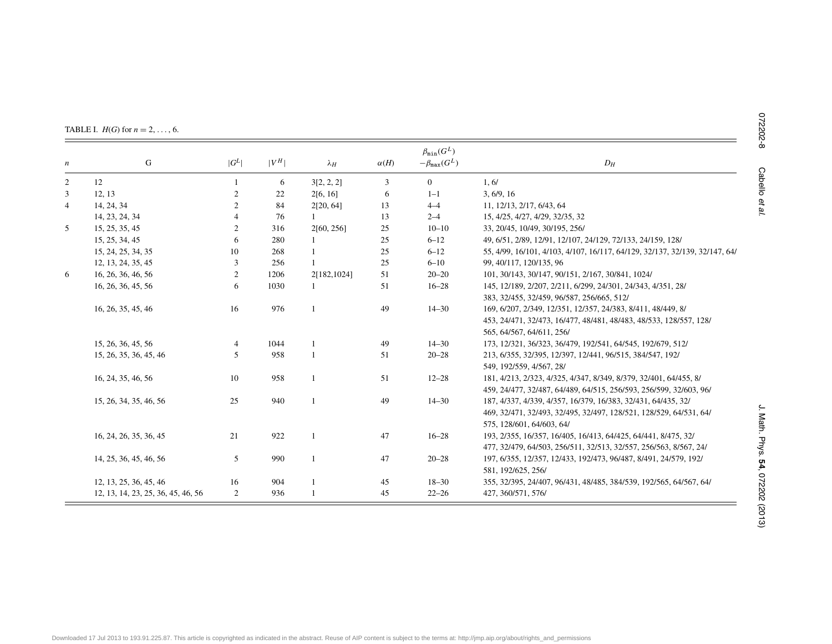<span id="page-8-0"></span>

| G                                  | $ G^L $        | $ V^H $ | $\lambda_H$    | $\alpha(H)$ | $\beta_{\min}(G^L)$<br>$-\beta_{\max}(G^L)$ | $D_H$                                                                       |
|------------------------------------|----------------|---------|----------------|-------------|---------------------------------------------|-----------------------------------------------------------------------------|
| 12                                 | 1              | 6       | 3[2, 2, 2]     | 3           | $\Omega$                                    | 1, 6/                                                                       |
| 12.13                              | 2              | 22      | 2[6, 16]       | 6           | $1 - 1$                                     | 3, 6/9, 16                                                                  |
| 14, 24, 34                         | 2              | 84      | 2[20, 64]      | 13          | $4 - 4$                                     | 11, 12/13, 2/17, 6/43, 64                                                   |
| 14, 23, 24, 34                     |                | 76      | $\mathbf{1}$   | 13          | $2 - 4$                                     | 15, 4/25, 4/27, 4/29, 32/35, 32                                             |
| 15, 25, 35, 45                     | 2              | 316     | 2[60, 256]     | 25          | $10 - 10$                                   | 33, 20/45, 10/49, 30/195, 256/                                              |
| 15, 25, 34, 45                     | 6              | 280     | $\mathbf{1}$   | 25          | $6 - 12$                                    | 49, 6/51, 2/89, 12/91, 12/107, 24/129, 72/133, 24/159, 128/                 |
| 15, 24, 25, 34, 35                 | 10             | 268     | 1              | 25          | $6 - 12$                                    | 55, 4/99, 16/101, 4/103, 4/107, 16/117, 64/129, 32/137, 32/139, 32/147, 64/ |
| 12, 13, 24, 35, 45                 | 3              | 256     |                | 25          | $6 - 10$                                    | 99, 40/117, 120/135, 96                                                     |
| 16, 26, 36, 46, 56                 | 2              | 1206    | 2[182,1024]    | 51          | $20 - 20$                                   | 101, 30/143, 30/147, 90/151, 2/167, 30/841, 1024/                           |
| 16, 26, 36, 45, 56                 | 6              | 1030    | 1              | 51          | $16 - 28$                                   | 145, 12/189, 2/207, 2/211, 6/299, 24/301, 24/343, 4/351, 28/                |
|                                    |                |         |                |             |                                             | 383, 32/455, 32/459, 96/587, 256/665, 512/                                  |
| 16, 26, 35, 45, 46                 | 16             | 976     | $\overline{1}$ | 49          | $14 - 30$                                   | 169, 6/207, 2/349, 12/351, 12/357, 24/383, 8/411, 48/449, 8/                |
|                                    |                |         |                |             |                                             | 453, 24/471, 32/473, 16/477, 48/481, 48/483, 48/533, 128/557, 128/          |
|                                    |                |         |                |             |                                             | 565, 64/567, 64/611, 256/                                                   |
| 15, 26, 36, 45, 56                 | $\overline{4}$ | 1044    | -1             | 49          | $14 - 30$                                   | 173, 12/321, 36/323, 36/479, 192/541, 64/545, 192/679, 512/                 |
| 15, 26, 35, 36, 45, 46             | 5              | 958     | -1             | 51          | $20 - 28$                                   | 213, 6/355, 32/395, 12/397, 12/441, 96/515, 384/547, 192/                   |
|                                    |                |         |                |             |                                             | 549, 192/559, 4/567, 28/                                                    |
| 16, 24, 35, 46, 56                 | 10             | 958     | -1             | 51          | $12 - 28$                                   | 181, 4/213, 2/323, 4/325, 4/347, 8/349, 8/379, 32/401, 64/455, 8/           |
|                                    |                |         |                |             |                                             | 459, 24/477, 32/487, 64/489, 64/515, 256/593, 256/599, 32/603, 96/          |
| 15, 26, 34, 35, 46, 56             | 25             | 940     | $\mathbf{1}$   | 49          | $14 - 30$                                   | 187, 4/337, 4/339, 4/357, 16/379, 16/383, 32/431, 64/435, 32/               |
|                                    |                |         |                |             |                                             | 469, 32/471, 32/493, 32/495, 32/497, 128/521, 128/529, 64/531, 64/          |
|                                    |                |         |                |             |                                             | 575, 128/601, 64/603, 64/                                                   |
| 16, 24, 26, 35, 36, 45             | 21             | 922     | -1             | 47          | $16 - 28$                                   | 193, 2/355, 16/357, 16/405, 16/413, 64/425, 64/441, 8/475, 32/              |
|                                    |                |         |                |             |                                             | 477, 32/479, 64/503, 256/511, 32/513, 32/557, 256/563, 8/567, 24/           |
| 14, 25, 36, 45, 46, 56             | 5              | 990     | -1             | 47          | $20 - 28$                                   | 197, 6/355, 12/357, 12/433, 192/473, 96/487, 8/491, 24/579, 192/            |
|                                    |                |         |                |             |                                             | 581, 192/625, 256/                                                          |
| 12, 13, 25, 36, 45, 46             | 16             | 904     | -1             | 45          | $18 - 30$                                   | 355, 32/395, 24/407, 96/431, 48/485, 384/539, 192/565, 64/567, 64/          |
| 12, 13, 14, 23, 25, 36, 45, 46, 56 | 2              | 936     | -1             | 45          | $22 - 26$                                   | 427, 360/571, 576/                                                          |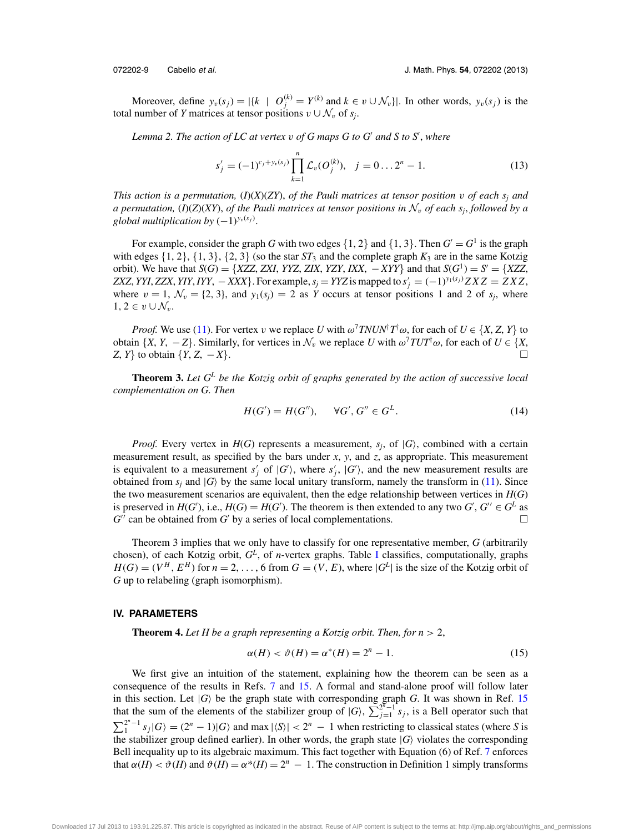<span id="page-9-0"></span>

Moreover, define  $y_v(s_j) = |\{k \mid O_j^{(k)} = Y^{(k)} \text{ and } k \in v \cup \mathcal{N}_v\}|$ . In other words,  $y_v(s_j)$  is the total number of *Y* matrices at tensor positions  $v \cup \mathcal{N}_v$  of  $s_i$ .

*Lemma 2. The action of LC at vertex* v *of G maps G to G and S to S* , *where*

$$
s'_{j} = (-1)^{c_{j} + y_{v}(s_{j})} \prod_{k=1}^{n} \mathcal{L}_{v}(O_{j}^{(k)}), \quad j = 0...2^{n} - 1.
$$
 (13)

*This action is a permutation,*  $(I)(X)(ZY)$ , *of the Pauli matrices at tensor position* v *of each s<sub>i</sub> and a permutation,* ( $I$ )( $Z$ )( $XY$ ), *of the Pauli matrices at tensor positions in*  $N_v$  *of each s<sub>i</sub>, followed by a global multiplication by*  $(-1)^{y_v(s_j)}$ .

For example, consider the graph *G* with two edges  $\{1, 2\}$  and  $\{1, 3\}$ . Then  $G' = G<sup>1</sup>$  is the graph with edges  $\{1, 2\}, \{1, 3\}, \{2, 3\}$  (so the star  $ST_3$  and the complete graph  $K_3$  are in the same Kotzig orbit). We have that  $S(G) = \{XZZ, ZX, YYZ, ZIX, YZY, IXX, -XYY\}$  and that  $S(G^1) = S' = \{XZZ, Y'X, Y'X, Z'X, Y'X, Y'X, Z'X, Y'X'X, Z'X'X, Z'X'X, Z'X'X, Z'X'X, Z'X'X, Z'X'X, Z'X'X, Z'X'X, Z'X'X, Z'X'X, Z'X'X, Z'X'X, Z'X'X, Z'X'X, Z'X'X, Z'X'X, Z'X'X, Z'X'X, Z'X'X, Z$ *ZXZ*, *YYI*, *ZZX*, *YIY*, *IYY*, − *XXX*}. For example,  $s_j = YYZ$  is mapped to  $s'_j = (-1)^{y_1(s_j)} ZXZ = ZXZ$ , where  $v = 1$ ,  $\mathcal{N}_v = \{2, 3\}$ , and  $y_1(s_j) = 2$  as *Y* occurs at tensor positions 1 and 2 of  $s_j$ , where  $1, 2 \in v \cup \mathcal{N}_v$ .

*Proof.* We use [\(11\)](#page-7-0). For vertex v we replace *U* with  $\omega^7 T N U N^{\dagger} T^{\dagger} \omega$ , for each of  $U \in \{X, Z, Y\}$  to obtain  $\{X, Y, -Z\}$ . Similarly, for vertices in  $\mathcal{N}_v$  we replace *U* with  $\omega^7 T U T^{\dagger} \omega$ , for each of  $U \in \{X,$ *Z*, *Y*} to obtain {*Y*, *Z*, −*X*}.  $\Box$ 

**Theorem 3.** *Let GL be the Kotzig orbit of graphs generated by the action of successive local complementation on G. Then*

$$
H(G') = H(G''), \quad \forall G', G'' \in G^L.
$$
\n
$$
(14)
$$

*Proof.* Every vertex in  $H(G)$  represents a measurement,  $s_i$ , of  $|G\rangle$ , combined with a certain measurement result, as specified by the bars under *x*, *y*, and *z*, as appropriate. This measurement is equivalent to a measurement  $s'_{j}$  of  $|G'\rangle$ , where  $s'_{j}$ ,  $|G'\rangle$ , and the new measurement results are obtained from  $s_i$  and  $|G\rangle$  by the same local unitary transform, namely the transform in [\(11\)](#page-7-0). Since the two measurement scenarios are equivalent, then the edge relationship between vertices in  $H(G)$ is preserved in  $H(G')$ , i.e.,  $H(G) = H(G')$ . The theorem is then extended to any two  $G', G'' \in G^L$  as  $G'$  can be obtained from  $G'$  by a series of local complementations.  $\Box$ 

Theorem 3 implies that we only have to classify for one representative member, *G* (arbitrarily chosen), of each Kotzig orbit,  $G^L$ , of *n*-vertex graphs. Table [I](#page-8-0) classifies, computationally, graphs  $H(G) = (V^H, E^H)$  for  $n = 2, \ldots, 6$  from  $G = (V, E)$ , where  $|G^L|$  is the size of the Kotzig orbit of *G* up to relabeling (graph isomorphism).

#### **IV. PARAMETERS**

**Theorem 4.** Let H be a graph representing a Kotzig orbit. Then, for  $n > 2$ ,

$$
\alpha(H) < \vartheta(H) = \alpha^*(H) = 2^n - 1. \tag{15}
$$

We first give an intuition of the statement, explaining how the theorem can be seen as a consequence of the results in Refs. [7](#page-17-0) and [15.](#page-17-0) A formal and stand-alone proof will follow later in this section. Let  $|G\rangle$  be the graph state with corresponding graph *G*. It was shown in Ref. [15](#page-17-0) that the sum of the elements of the stabilizer group of  $|G\rangle$ ,  $\sum_{j=1}^{2^n-1} s_j$ , is a Bell operator such that  $\sum_{1}^{2^{n}-1} s_j |G\rangle = (2^{n}-1)|G\rangle$  and max  $|\langle S \rangle| < 2^{n}-1$  when restricting to classical states (where *S* is the stabilizer group defined earlier). In other words, the graph state  $|G\rangle$  violates the corresponding Bell inequality up to its algebraic maximum. This fact together with Equation (6) of Ref. [7](#page-17-0) enforces that  $\alpha(H) < \vartheta(H)$  and  $\vartheta(H) = \alpha^*(H) = 2^n - 1$ . The construction in Definition 1 simply transforms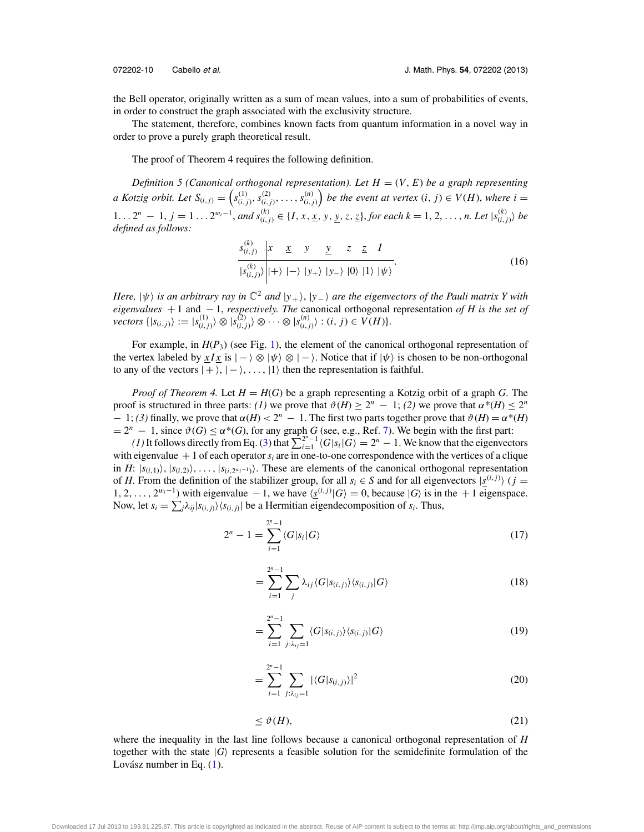the Bell operator, originally written as a sum of mean values, into a sum of probabilities of events, in order to construct the graph associated with the exclusivity structure.

The statement, therefore, combines known facts from quantum information in a novel way in order to prove a purely graph theoretical result.

The proof of Theorem 4 requires the following definition.

*Definition 5 (Canonical orthogonal representation). Let*  $H = (V, E)$  *be a graph representing* a Kotzig orbit. Let  $S_{(i,j)} = (s_{(i,j)}^{(1)}, s_{(i,j)}^{(2)}, \ldots, s_{(i,j)}^{(n)})$  be the event at vertex  $(i, j) \in V(H)$ , where  $i =$  $1... 2^{n} - 1, j = 1... 2^{w_i-1}$ , and  $s_{(i,j)}^{(k)} \in \{I, x, \underline{x}, y, \underline{y}, z, \underline{z}\},$  for each  $k = 1, 2, ..., n$ . Let  $|s_{(i,j)}^{(k)}\rangle$  be *defined as follows:*

$$
s_{(i,j)}^{(k)} \left| x \right| \leq y \quad \underline{y} \quad z \quad \underline{z} \quad I
$$
  

$$
|s_{(i,j)}^{(k)}\rangle \left| + \right| + \left| - \right| \left| y_+ \right| \left| y_- \right| \left| 0 \right\rangle \left| 1 \right\rangle \left| \psi \right\rangle.
$$
 (16)

*Here,*  $|\psi\rangle$  *is an arbitrary ray in*  $\mathbb{C}^2$  *and*  $|y_+\rangle$ ,  $|y_-\rangle$  *are the eigenvectors of the Pauli matrix Y with eigenvalues* + 1 and − 1, *respectively. The* canonical orthogonal representation *of H is the set of*  $\forall$  vectors  $\{|s_{(i,j)}\rangle := |s_{(i,j)}^{(1)}\rangle \otimes |s_{(i,j)}^{(2)}\rangle \otimes \cdots \otimes |s_{(i,j)}^{(n)}\rangle : (i,j) \in V(H)\}.$ 

For example, in  $H(P_3)$  (see Fig. [1\)](#page-7-0), the element of the canonical orthogonal representation of the vertex labeled by  $xIx$  is  $|-\rangle \otimes |\psi\rangle \otimes |-\rangle$ . Notice that if  $|\psi\rangle$  is chosen to be non-orthogonal to any of the vectors  $|+ \rangle, |-\rangle, \ldots, |1 \rangle$  then the representation is faithful.

*Proof of Theorem 4.* Let  $H = H(G)$  be a graph representing a Kotzig orbit of a graph G. The proof is structured in three parts: *(1)* we prove that  $\vartheta(H) \geq 2^n - 1$ ; *(2)* we prove that  $\alpha^*(H) \leq 2^n$  $-1$ ; *(3)* finally, we prove that  $\alpha(H) < 2^n - 1$ . The first two parts together prove that  $\vartheta(H) = \alpha^*(H)$  $= 2^n - 1$ , since  $\vartheta(G) \le \alpha^*(G)$ , for any graph *G* (see, e.g., Ref. [7\)](#page-17-0). We begin with the first part:

*(1)* It follows directly from Eq. [\(3\)](#page-3-0) that  $\sum_{i=1}^{2^n-1}$  *(G*|*s<sub>i</sub>*|*G*) = 2<sup>*n*</sup> − 1. We know that the eigenvectors with eigenvalue  $+1$  of each operator  $s_i$  are in one-to-one correspondence with the vertices of a clique in *H*:  $|s_{(i,1)}\rangle$ ,  $|s_{(i,2)}\rangle$ , ...,  $|s_{(i,2^{\omega_i-1})}\rangle$ . These are elements of the canonical orthogonal representation of *H*. From the definition of the stabilizer group, for all  $s_i \in S$  and for all eigenvectors  $|s^{(i,j)}\rangle$  (*j* = 1, 2, ...,  $2^{w_i-1}$ ) with eigenvalue − 1, we have  $\langle \underline{s}^{(i,j)} | G \rangle = 0$ , because  $| G \rangle$  is in the +1 eigenspace. Now, let  $s_i = \sum_j \lambda_{ij} |s_{(i,j)}\rangle \langle s_{(i,j)}|$  be a Hermitian eigendecomposition of  $s_i$ . Thus,

$$
2^{n} - 1 = \sum_{i=1}^{2^{n}-1} \langle G | s_{i} | G \rangle \tag{17}
$$

$$
=\sum_{i=1}^{2^n-1}\sum_j\lambda_{ij}\langle G|s_{(i,j)}\rangle\langle s_{(i,j)}|G\rangle\tag{18}
$$

$$
=\sum_{i=1}^{2^n-1}\sum_{j:\lambda_{ij}=1}\langle G|s_{(i,j)}\rangle\langle s_{(i,j)}|G\rangle\tag{19}
$$

$$
= \sum_{i=1}^{2^n - 1} \sum_{j:\lambda_{ij} = 1} |\langle G | s_{(i,j)} \rangle|^2
$$
 (20)

$$
\leq \vartheta(H),\tag{21}
$$

where the inequality in the last line follows because a canonical orthogonal representation of *H* together with the state  $|G\rangle$  represents a feasible solution for the semidefinite formulation of the Lovász number in Eq.  $(1)$  $(1)$ .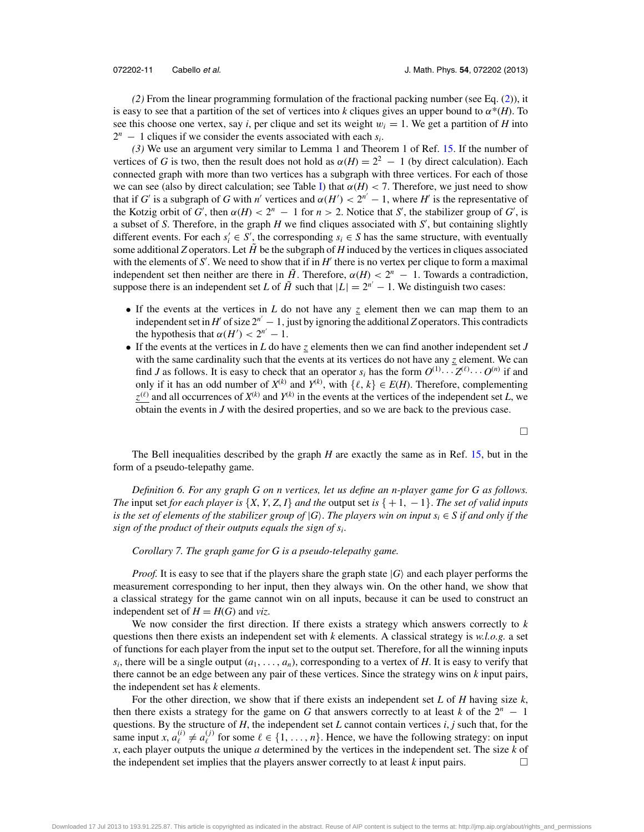*(2)* From the linear programming formulation of the fractional packing number (see Eq. [\(2\)](#page-3-0)), it is easy to see that a partition of the set of vertices into k cliques gives an upper bound to  $\alpha^*(H)$ . To see this choose one vertex, say *i*, per clique and set its weight  $w_i = 1$ . We get a partition of *H* into  $2^n - 1$  cliques if we consider the events associated with each  $s_i$ .

*(3)* We use an argument very similar to Lemma 1 and Theorem 1 of Ref. [15.](#page-17-0) If the number of vertices of *G* is two, then the result does not hold as  $\alpha(H) = 2^2 - 1$  (by direct calculation). Each connected graph with more than two vertices has a subgraph with three vertices. For each of those we can see (also by direct calculation; see Table [I\)](#page-8-0) that  $\alpha(H)$  < 7. Therefore, we just need to show that if *G'* is a subgraph of *G* with *n'* vertices and  $\alpha(H') < 2^{n'} - 1$ , where *H'* is the representative of the Kotzig orbit of *G*<sup>*,*</sup>, then  $\alpha(H) < 2^n - 1$  for  $n > 2$ . Notice that *S*<sup>*'*</sup>, the stabilizer group of *G'*, is a subset of *S*. Therefore, in the graph *H* we find cliques associated with *S* , but containing slightly different events. For each  $s_i \in S'$ , the corresponding  $s_i \in S$  has the same structure, with eventually some additional *Z* operators. Let  $\hat{H}$  be the subgraph of *H* induced by the vertices in cliques associated with the elements of  $S'$ . We need to show that if in  $H'$  there is no vertex per clique to form a maximal independent set then neither are there in  $\hat{H}$ . Therefore,  $\alpha(H) < 2^{n} - 1$ . Towards a contradiction, suppose there is an independent set *L* of  $\tilde{H}$  such that  $|L| = 2^{n'} - 1$ . We distinguish two cases:

- If the events at the vertices in  $L$  do not have any  $\zeta$  element then we can map them to an independent set in *H'* of size  $2^{n'} - 1$ , just by ignoring the additional *Z* operators. This contradicts the hypothesis that  $\alpha(H') < 2^{n'} - 1$ .
- If the events at the vertices in *L* do have *z* elements then we can find another independent set *J* with the same cardinality such that the events at its vertices do not have any *z* element. We can find *J* as follows. It is easy to check that an operator  $s_i$  has the form  $O^{(1)} \cdots Z^{(\ell)} \cdots O^{(n)}$  if and only if it has an odd number of  $X^{(k)}$  and  $Y^{(k)}$ , with  $\{\ell, k\} \in E(H)$ . Therefore, complementing  $z^{(\ell)}$  and all occurrences of  $X^{(k)}$  and  $Y^{(k)}$  in the events at the vertices of the independent set *L*, we obtain the events in *J* with the desired properties, and so we are back to the previous case.

The Bell inequalities described by the graph *H* are exactly the same as in Ref. [15,](#page-17-0) but in the form of a pseudo-telepathy game.

*Definition 6. For any graph G on n vertices, let us define an n-player game for G as follows. The* input set *for each player is*  $\{X, Y, Z, I\}$  *and the* output set *is*  $\{+1, -1\}$ *. The set of valid inputs is the set of elements of the stabilizer group of*  $|G\rangle$ . *The players win on input s<sub>i</sub> ∈ <i>S if and only if the sign of the product of their outputs equals the sign of si*.

*Corollary 7. The graph game for G is a pseudo-telepathy game.*

*Proof.* It is easy to see that if the players share the graph state  $|G\rangle$  and each player performs the measurement corresponding to her input, then they always win. On the other hand, we show that a classical strategy for the game cannot win on all inputs, because it can be used to construct an independent set of  $H = H(G)$  and *viz*.

We now consider the first direction. If there exists a strategy which answers correctly to *k* questions then there exists an independent set with *k* elements. A classical strategy is *w.l.o.g.* a set of functions for each player from the input set to the output set. Therefore, for all the winning inputs  $s_i$ , there will be a single output  $(a_1, \ldots, a_n)$ , corresponding to a vertex of *H*. It is easy to verify that there cannot be an edge between any pair of these vertices. Since the strategy wins on *k* input pairs, the independent set has *k* elements.

For the other direction, we show that if there exists an independent set *L* of *H* having size *k*, then there exists a strategy for the game on *G* that answers correctly to at least *k* of the  $2^n - 1$ questions. By the structure of  $H$ , the independent set  $L$  cannot contain vertices  $i, j$  such that, for the same input  $x, a_\ell^{(i)} \neq a_\ell^{(j)}$  for some  $\ell \in \{1, ..., n\}$ . Hence, we have the following strategy: on input *x*, each player outputs the unique *a* determined by the vertices in the independent set. The size *k* of the independent set implies that the players answer correctly to at least  $k$  input pairs.  $\Box$ 

 $\Box$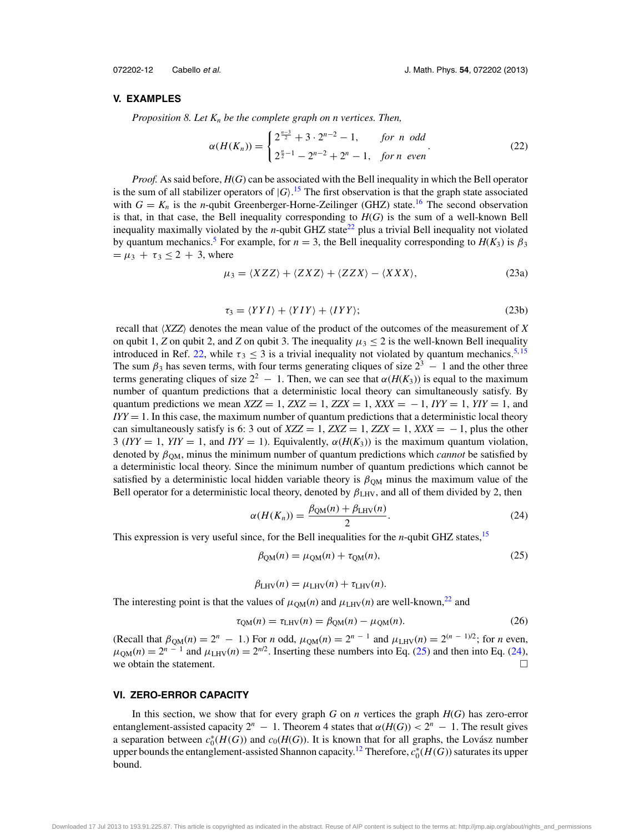<span id="page-12-0"></span>

#### **V. EXAMPLES**

*Proposition 8. Let Kn be the complete graph on n vertices. Then,*

$$
\alpha(H(K_n)) = \begin{cases} 2^{\frac{n-3}{2}} + 3 \cdot 2^{n-2} - 1, & \text{for } n \text{ odd} \\ 2^{\frac{n}{2}-1} - 2^{n-2} + 2^n - 1, & \text{for } n \text{ even} \end{cases}
$$
(22)

*Proof.* As said before, *H*(*G*) can be associated with the Bell inequality in which the Bell operator is the sum of all stabilizer operators of  $|G\rangle$ .<sup>[15](#page-17-0)</sup> The first observation is that the graph state associated with  $G = K_n$  is the *n*-qubit Greenberger-Horne-Zeilinger (GHZ) state.<sup>[16](#page-17-0)</sup> The second observation is that, in that case, the Bell inequality corresponding to *H*(*G*) is the sum of a well-known Bell inequality maximally violated by the *n*-qubit GHZ state<sup>22</sup> plus a trivial Bell inequality not violated by quantum mechanics.<sup>[5](#page-17-0)</sup> For example, for  $n = 3$ , the Bell inequality corresponding to  $H(K_3)$  is  $\beta_3$  $= \mu_3 + \tau_3 \leq 2 + 3$ , where

$$
\mu_3 = \langle XZZ \rangle + \langle ZXZ \rangle + \langle ZZX \rangle - \langle XXX \rangle, \tag{23a}
$$

$$
\tau_3 = \langle YYI \rangle + \langle YIY \rangle + \langle IYY \rangle; \tag{23b}
$$

recall that *XZZ* denotes the mean value of the product of the outcomes of the measurement of *X* on qubit 1, *Z* on qubit 2, and *Z* on qubit 3. The inequality  $\mu_3 \leq 2$  is the well-known Bell inequality introduced in Ref. [22,](#page-17-0) while  $\tau_3 \leq 3$  is a trivial inequality not violated by quantum mechanics.<sup>5, [15](#page-17-0)</sup> The sum  $\beta_3$  has seven terms, with four terms generating cliques of size  $2^3 - 1$  and the other three terms generating cliques of size  $2^2 - 1$ . Then, we can see that  $\alpha(H(K_3))$  is equal to the maximum number of quantum predictions that a deterministic local theory can simultaneously satisfy. By quantum predictions we mean  $XZZ = 1$ ,  $ZXZ = 1$ ,  $ZZX = 1$ ,  $XXX = -1$ ,  $IYY = 1$ ,  $YIY = 1$ , and *IYY* = 1. In this case, the maximum number of quantum predictions that a deterministic local theory can simultaneously satisfy is 6: 3 out of  $XZZ = 1$ ,  $ZXZ = 1$ ,  $ZXX = -1$ , plus the other 3 (*IYY* = 1, *YIY* = 1, and *IYY* = 1). Equivalently,  $\alpha(H(K_3))$  is the maximum quantum violation, denoted by  $\beta_{OM}$ , minus the minimum number of quantum predictions which *cannot* be satisfied by a deterministic local theory. Since the minimum number of quantum predictions which cannot be satisfied by a deterministic local hidden variable theory is  $\beta_{OM}$  minus the maximum value of the Bell operator for a deterministic local theory, denoted by  $\beta_{LHV}$ , and all of them divided by 2, then

$$
\alpha(H(K_n)) = \frac{\beta_{\text{QM}}(n) + \beta_{\text{LHV}}(n)}{2}.
$$
\n(24)

This expression is very useful since, for the Bell inequalities for the *n*-qubit GHZ states,<sup>[15](#page-17-0)</sup>

$$
\beta_{\text{QM}}(n) = \mu_{\text{QM}}(n) + \tau_{\text{QM}}(n),\tag{25}
$$

$$
\beta_{\text{LHV}}(n) = \mu_{\text{LHV}}(n) + \tau_{\text{LHV}}(n).
$$

The interesting point is that the values of  $\mu_{QM}(n)$  and  $\mu_{LHV}(n)$  are well-known,<sup>[22](#page-17-0)</sup> and

$$
\tau_{QM}(n) = \tau_{LHV}(n) = \beta_{QM}(n) - \mu_{QM}(n). \tag{26}
$$

(Recall that  $\beta_{QM}(n) = 2^n - 1$ .) For *n* odd,  $\mu_{QM}(n) = 2^{n-1}$  and  $\mu_{LHV}(n) = 2^{(n-1)/2}$ ; for *n* even,  $\mu_{\text{QM}}(n) = 2^{n-1}$  and  $\mu_{\text{LHV}}(n) = 2^{n/2}$ . Inserting these numbers into Eq. (25) and then into Eq. (24), we obtain the statement.  $\Box$ 

#### **VI. ZERO-ERROR CAPACITY**

In this section, we show that for every graph  $G$  on  $n$  vertices the graph  $H(G)$  has zero-error entanglement-assisted capacity  $2^n - 1$ . Theorem 4 states that  $\alpha(H(G)) < 2^n - 1$ . The result gives a separation between  $c_0^*(H(G))$  and  $c_0(H(G))$ . It is known that for all graphs, the Lovász number upper bounds the entanglement-assisted Shannon capacity[.12](#page-17-0) Therefore, *c*<sup>∗</sup> <sup>0</sup>(*H*(*G*)) saturates its upper bound.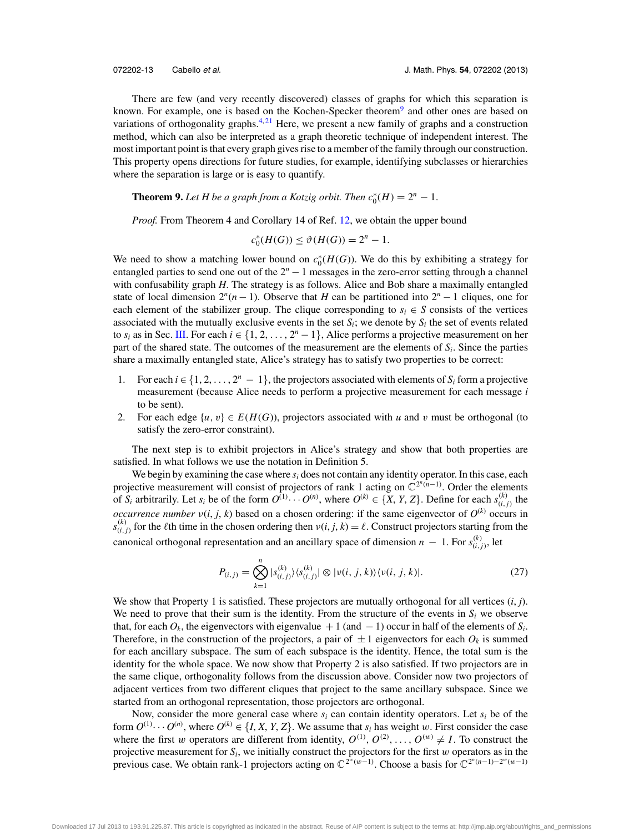There are few (and very recently discovered) classes of graphs for which this separation is known. For example, one is based on the Kochen-Specker theorem<sup>[9](#page-17-0)</sup> and other ones are based on variations of orthogonality graphs. $4,21$  $4,21$  Here, we present a new family of graphs and a construction method, which can also be interpreted as a graph theoretic technique of independent interest. The most important point is that every graph gives rise to a member of the family through our construction. This property opens directions for future studies, for example, identifying subclasses or hierarchies where the separation is large or is easy to quantify.

**Theorem 9.** *Let H be a graph from a Kotzig orbit. Then*  $c_0^*(H) = 2^n - 1$ .

*Proof.* From Theorem 4 and Corollary 14 of Ref. [12,](#page-17-0) we obtain the upper bound

$$
c_0^*(H(G)) \le \vartheta(H(G)) = 2^n - 1.
$$

We need to show a matching lower bound on  $c_0^*(H(G))$ . We do this by exhibiting a strategy for entangled parties to send one out of the  $2<sup>n</sup> − 1$  messages in the zero-error setting through a channel with confusability graph *H*. The strategy is as follows. Alice and Bob share a maximally entangled state of local dimension  $2^n(n-1)$ . Observe that *H* can be partitioned into  $2^n - 1$  cliques, one for each element of the stabilizer group. The clique corresponding to  $s_i \in S$  consists of the vertices associated with the mutually exclusive events in the set  $S_i$ ; we denote by  $S_i$  the set of events related to  $s_i$  as in Sec. [III.](#page-6-0) For each  $i \in \{1, 2, ..., 2^n - 1\}$ , Alice performs a projective measurement on her part of the shared state. The outcomes of the measurement are the elements of  $S_i$ . Since the parties share a maximally entangled state, Alice's strategy has to satisfy two properties to be correct:

- 1. For each  $i \in \{1, 2, \ldots, 2^n 1\}$ , the projectors associated with elements of  $S_i$  form a projective measurement (because Alice needs to perform a projective measurement for each message *i* to be sent).
- 2. For each edge  $\{u, v\} \in E(H(G))$ , projectors associated with *u* and *v* must be orthogonal (to satisfy the zero-error constraint).

The next step is to exhibit projectors in Alice's strategy and show that both properties are satisfied. In what follows we use the notation in Definition 5.

We begin by examining the case where  $s_i$  does not contain any identity operator. In this case, each projective measurement will consist of projectors of rank 1 acting on  $\mathbb{C}^{2^{n}(n-1)}$ . Order the elements of  $S_i$  arbitrarily. Let  $s_i$  be of the form  $O^{(1)} \cdots O^{(n)}$ , where  $O^{(k)} \in \{X, Y, Z\}$ . Define for each  $s_{(i,j)}^{(k)}$  the *occurrence number*  $v(i, j, k)$  based on a chosen ordering: if the same eigenvector of  $O^{(k)}$  occurs in  $s_{(i,j)}^{(k)}$  for the  $\ell$ th time in the chosen ordering then  $v(i, j, k) = \ell$ . Construct projectors starting from the canonical orthogonal representation and an ancillary space of dimension  $n - 1$ . For  $s_{(i,j)}^{(k)}$ , let

$$
P_{(i,j)} = \bigotimes_{k=1}^{n} |s_{(i,j)}^{(k)}\rangle \langle s_{(i,j)}^{(k)}| \otimes |\nu(i,j,k)\rangle \langle \nu(i,j,k)|. \tag{27}
$$

We show that Property 1 is satisfied. These projectors are mutually orthogonal for all vertices (*i*, *j*). We need to prove that their sum is the identity. From the structure of the events in  $S_i$  we observe that, for each  $O_k$ , the eigenvectors with eigenvalue  $+1$  (and  $-1$ ) occur in half of the elements of  $S_i$ . Therefore, in the construction of the projectors, a pair of  $\pm 1$  eigenvectors for each  $O_k$  is summed for each ancillary subspace. The sum of each subspace is the identity. Hence, the total sum is the identity for the whole space. We now show that Property 2 is also satisfied. If two projectors are in the same clique, orthogonality follows from the discussion above. Consider now two projectors of adjacent vertices from two different cliques that project to the same ancillary subspace. Since we started from an orthogonal representation, those projectors are orthogonal.

Now, consider the more general case where  $s_i$  can contain identity operators. Let  $s_i$  be of the form  $O^{(1)} \cdots O^{(n)}$ , where  $O^{(k)} \in \{I, X, Y, Z\}$ . We assume that  $s_i$  has weight w. First consider the case where the first w operators are different from identity,  $O^{(1)}$ ,  $O^{(2)}$ , ...,  $O^{(w)} \neq I$ . To construct the projective measurement for  $S_i$ , we initially construct the projectors for the first  $w$  operators as in the previous case. We obtain rank-1 projectors acting on  $\mathbb{C}^{2^w(w-1)}$ . Choose a basis for  $\mathbb{C}^{2^n(n-1)-2^w(w-1)}$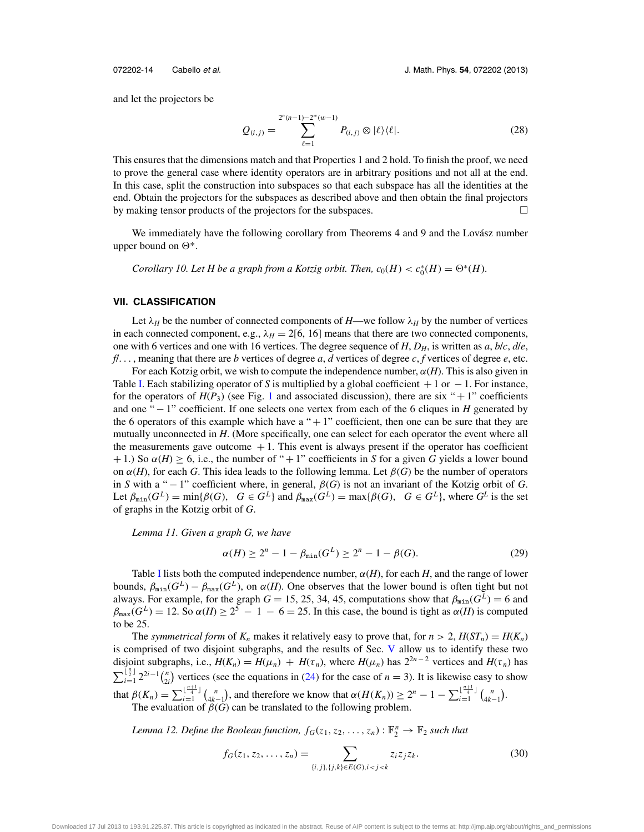<span id="page-14-0"></span>

and let the projectors be

$$
Q_{(i,j)} = \sum_{\ell=1}^{2^n (n-1) - 2^w (w-1)} P_{(i,j)} \otimes |\ell\rangle\langle\ell|.
$$
 (28)

This ensures that the dimensions match and that Properties 1 and 2 hold. To finish the proof, we need to prove the general case where identity operators are in arbitrary positions and not all at the end. In this case, split the construction into subspaces so that each subspace has all the identities at the end. Obtain the projectors for the subspaces as described above and then obtain the final projectors by making tensor products of the projectors for the subspaces. -

We immediately have the following corollary from Theorems 4 and 9 and the Lovász number upper bound on  $\Theta^*$ .

*Corollary 10. Let H be a graph from a Kotzig orbit. Then,*  $c_0(H) < c_0^*(H) = \Theta^*(H)$ .

#### **VII. CLASSIFICATION**

Let  $\lambda_H$  be the number of connected components of *H*—we follow  $\lambda_H$  by the number of vertices in each connected component, e.g.,  $\lambda_H = 2[6, 16]$  means that there are two connected components, one with 6 vertices and one with 16 vertices. The degree sequence of  $H$ ,  $D_H$ , is written as  $a$ ,  $b/c$ ,  $d/e$ , *f*/. . . , meaning that there are *b* vertices of degree *a*, *d* vertices of degree *c*, *f* vertices of degree *e*, etc.

For each Kotzig orbit, we wish to compute the independence number,  $\alpha(H)$ . This is also given in Table [I.](#page-8-0) Each stabilizing operator of *S* is multiplied by a global coefficient  $+1$  or  $-1$ . For instance, for the operators of  $H(P_3)$  (see Fig. [1](#page-7-0) and associated discussion), there are six " $+1$ " coefficients and one " − 1" coefficient. If one selects one vertex from each of the 6 cliques in *H* generated by the 6 operators of this example which have a " $+1$ " coefficient, then one can be sure that they are mutually unconnected in *H*. (More specifically, one can select for each operator the event where all the measurements gave outcome  $+1$ . This event is always present if the operator has coefficient  $+ 1$ .) So  $\alpha(H) \ge 6$ , i.e., the number of " $+ 1$ " coefficients in *S* for a given *G* yields a lower bound on  $\alpha(H)$ , for each *G*. This idea leads to the following lemma. Let  $\beta(G)$  be the number of operators in *S* with a " $-1$ " coefficient where, in general,  $\beta(G)$  is not an invariant of the Kotzig orbit of *G*. Let  $\beta_{\min}(G^L) = \min\{\beta(G), G \in G^L\}$  and  $\beta_{\max}(G^L) = \max\{\beta(G), G \in G^L\}$ , where  $G^L$  is the set of graphs in the Kotzig orbit of *G*.

*Lemma 11. Given a graph G, we have*

$$
\alpha(H) \ge 2^n - 1 - \beta_{\min}(G^L) \ge 2^n - 1 - \beta(G). \tag{29}
$$

Table [I](#page-8-0) lists both the computed independence number,  $\alpha(H)$ , for each *H*, and the range of lower bounds,  $β_{min}(G^L) - β_{max}(G^L)$ , on  $α(H)$ . One observes that the lower bound is often tight but not always. For example, for the graph  $G = 15, 25, 34, 45$ , computations show that  $\beta_{\min}(G^L) = 6$  and  $\beta_{\text{max}}(G^L) = 12$ . So  $\alpha(H) \ge 2^5 - 1 - 6 = 25$ . In this case, the bound is tight as  $\alpha(H)$  is computed to be 25.

The *symmetrical form* of  $K_n$  makes it relatively easy to prove that, for  $n > 2$ ,  $H(ST_n) = H(K_n)$ is comprised of two disjoint subgraphs, and the results of Sec. [V](#page-12-0) allow us to identify these two disjoint subgraphs, i.e.,  $H(K_n) = H(\mu_n) + H(\tau_n)$ , where  $H(\mu_n)$  has  $2^{2n-2}$  vertices and  $H(\tau_n)$  has  $\sum_{i=1}^{\lfloor \frac{n}{2} \rfloor} 2^{2i-1} \binom{n}{2i}$  vertices (see the equations in [\(24\)](#page-12-0) for the case of *n* = 3). It is likewise easy to show that  $\beta(K_n) = \sum_{i=1}^{\lfloor \frac{n+1}{4} \rfloor} {n \choose 4k-1}$ , and therefore we know that  $\alpha(H(K_n)) \geq 2^n - 1 - \sum_{i=1}^{\lfloor \frac{n+1}{4} \rfloor} {n \choose 4k-1}$ . The evaluation of  $\beta(G)$  can be translated to the following problem.

*Lemma 12. Define the Boolean function,*  $f_G(z_1, z_2, ..., z_n) : \mathbb{F}_2^n \to \mathbb{F}_2$  such that

$$
f_G(z_1, z_2, \dots, z_n) = \sum_{\{i,j\}, \{j,k\} \in E(G), i < j < k} z_i z_j z_k. \tag{30}
$$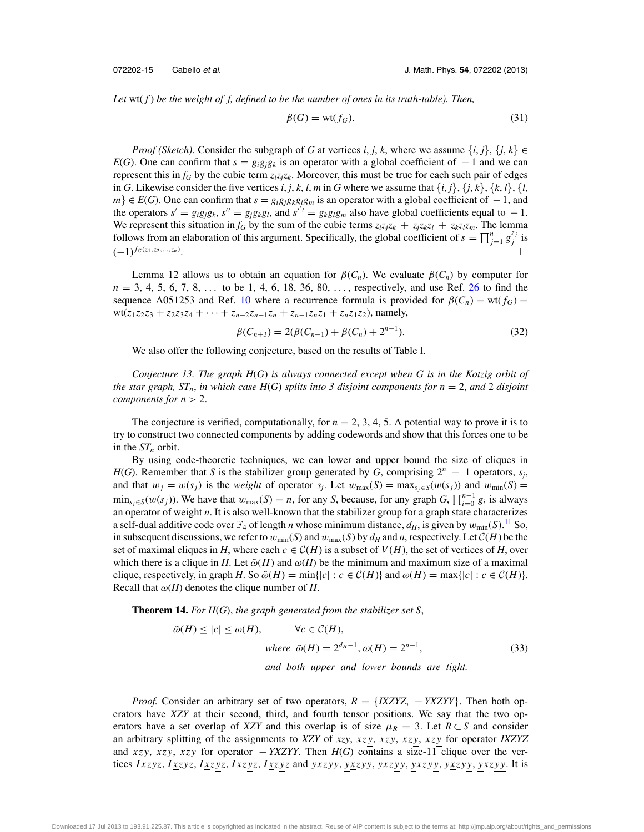Let  $wt(f)$  be the weight of f, defined to be the number of ones in its truth-table). Then,

$$
\beta(G) = \text{wt}(f_G). \tag{31}
$$

*Proof (Sketch)*. Consider the subgraph of *G* at vertices *i*, *j*, *k*, where we assume  $\{i, j\}$ ,  $\{j, k\}$ *E*(*G*). One can confirm that  $s = g_i g_j g_k$  is an operator with a global coefficient of − 1 and we can represent this in  $f_G$  by the cubic term  $z_i z_i z_k$ . Moreover, this must be true for each such pair of edges in *G*. Likewise consider the five vertices *i*, *j*, *k*, *l*, *m* in *G* where we assume that  $\{i, j\}$ ,  $\{j, k\}$ ,  $\{k, l\}$ ,  $\{l, l\}$  $m$ } ∈ *E*(*G*). One can confirm that  $s = g_i g_j g_k g_l g_m$  is an operator with a global coefficient of  $-1$ , and the operators  $s' = g_i g_j g_k$ ,  $s'' = g_j g_k g_l$ , and  $s'' = g_k g_l g_m$  also have global coefficients equal to  $-1$ . We represent this situation in *f<sub>G</sub>* by the sum of the cubic terms  $z_iz_jz_k + z_jz_kz_l + z_kz_lz_m$ . The lemma follows from an elaboration of this argument. Specifically, the global coefficient of  $s = \prod_{j=1}^n g_j^{z_j}$  is  $(-1)^{f_G(z_1,z_2,...,z_n)}$ . . The contract of the contract of the contract of the contract of  $\Box$ 

Lemma 12 allows us to obtain an equation for  $\beta(C_n)$ . We evaluate  $\beta(C_n)$  by computer for  $n = 3, 4, 5, 6, 7, 8, \ldots$  to be 1, 4, 6, 18, 36, 80,  $\ldots$ , respectively, and use Ref. [26](#page-17-0) to find the sequence A051253 and Ref. [10](#page-17-0) where a recurrence formula is provided for  $\beta(C_n) = \text{wt}(f_G)$  $wt(z_1z_2z_3 + z_2z_3z_4 + \cdots + z_{n-2}z_{n-1}z_n + z_{n-1}z_nz_1 + z_nz_1z_2)$ , namely,

$$
\beta(C_{n+3}) = 2(\beta(C_{n+1}) + \beta(C_n) + 2^{n-1}).
$$
\n(32)

We also offer the following conjecture, based on the results of Table [I.](#page-8-0)

*Conjecture 13. The graph H*(*G*) *is always connected except when G is in the Kotzig orbit of the star graph,*  $ST_n$ *, in which case*  $H(G)$  *<i>splits into 3 disjoint components for n* = 2, *and* 2 *disjoint components for*  $n > 2$ *.* 

The conjecture is verified, computationally, for  $n = 2, 3, 4, 5$ . A potential way to prove it is to try to construct two connected components by adding codewords and show that this forces one to be in the  $ST_n$  orbit.

By using code-theoretic techniques, we can lower and upper bound the size of cliques in *H*(*G*). Remember that *S* is the stabilizer group generated by *G*, comprising  $2^n - 1$  operators, *s<sub>i</sub>*, and that  $w_j = w(s_j)$  is the *weight* of operator  $s_j$ . Let  $w_{\text{max}}(S) = \max_{s_j \in S}(w(s_j))$  and  $w_{\text{min}}(S) =$  $\min_{s_j \in S}(w(s_j))$ . We have that  $w_{\text{max}}(S) = n$ , for any *S*, because, for any graph *G*,  $\prod_{i=0}^{n-1} g_i$  is always an operator of weight *n*. It is also well-known that the stabilizer group for a graph state characterizes a self-dual additive code over  $\mathbb{F}_4$  of length *n* whose minimum distance,  $d_H$ , is given by  $w_{\text{min}}(S)$ .<sup>[11](#page-17-0)</sup> So, in subsequent discussions, we refer to  $w_{\text{min}}(S)$  and  $w_{\text{max}}(S)$  by  $d_H$  and *n*, respectively. Let  $C(H)$  be the set of maximal cliques in *H*, where each  $c \in C(H)$  is a subset of  $V(H)$ , the set of vertices of *H*, over which there is a clique in *H*. Let  $\tilde{\omega}(H)$  and  $\omega(H)$  be the minimum and maximum size of a maximal clique, respectively, in graph *H*. So  $\tilde{\omega}(H) = \min\{|c| : c \in C(H)\}\$  and  $\omega(H) = \max\{|c| : c \in C(H)\}\$ . Recall that  $\omega(H)$  denotes the clique number of *H*.

**Theorem 14.** *For H*(*G*), *the graph generated from the stabilizer set S*,

$$
\tilde{\omega}(H) \le |c| \le \omega(H), \qquad \forall c \in \mathcal{C}(H),
$$
  
where  $\tilde{\omega}(H) = 2^{d_H - 1}, \omega(H) = 2^{n-1},$  (33)

*and both upper and lower bounds are tight.*

*Proof.* Consider an arbitrary set of two operators,  $R = \{IXZYZ, -YXZY\}$ . Then both operators have *XZY* at their second, third, and fourth tensor positions. We say that the two operators have a set overlap of *XZY* and this overlap is of size  $\mu_R = 3$ . Let  $R \subset S$  and consider an arbitrary splitting of the assignments to *XZY* of *xzy*, *xzy*, *xzy*, *xzy*, *xzy* for operator *IXZYZ* and *xzy*, *xzy* for operator − *YXZYY*. Then  $H(G)$  contains a size-11 clique over the vertices  $Ixzyz$ ,  $Ixzyz$ ,  $Ixzyz$ ,  $Ixzyz$ ,  $Ixzyz$  and  $yxzyy$ ,  $yxzyy$ ,  $yxzyy$ ,  $yxzyy$ ,  $yxzyy$ ,  $yxzyy$ . It is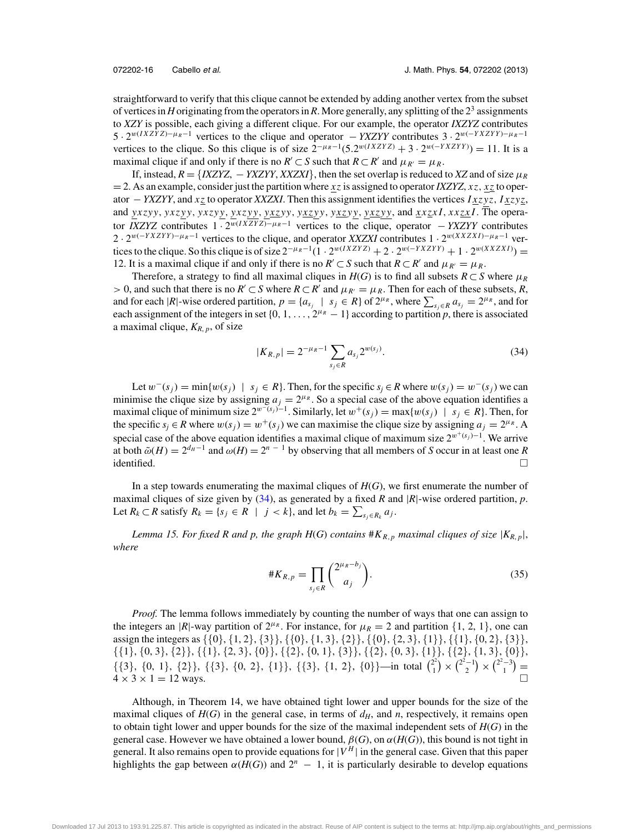straightforward to verify that this clique cannot be extended by adding another vertex from the subset of vertices in *H* originating from the operators in *R*. More generally, any splitting of the  $2<sup>3</sup>$  assignments to *XZY* is possible, each giving a different clique. For our example, the operator *IXZYZ* contributes  $5 \cdot 2^{w(IXZYZ) - \mu_R - 1}$  vertices to the clique and operator  $-YXZYY$  contributes  $3 \cdot 2^{w(-YXZYY) - \mu_R - 1}$ vertices to the clique. So this clique is of size  $2^{-\mu_R-1}(5.2^{w(IXZYZ)} + 3 \cdot 2^{w(-YXZYY)}) = 11$ . It is a maximal clique if and only if there is no  $R' \subset S$  such that  $R \subset R'$  and  $\mu_{R'} = \mu_R$ .

If, instead,  $R = \{IXZYZ, -YXZYY, XXXZY\}$ , then the set overlap is reduced to *XZ* and of size  $\mu_R$  $= 2$ . As an example, consider just the partition where *xz* is assigned to operator *IXZYZ*, *xz*, *xz* to operator − *YXZYY*, and *xz* to operator *XXZXI*. Then this assignment identifies the vertices *I xzyz*, *I xzyz*, and  $yxzyy$ ,  $yxzyy$ ,  $yxzyy$ ,  $yxzyy$ ,  $yxzyy$ ,  $yxzyy$ ,  $yxzyy$ ,  $yxzyy$ ,  $yxzyy$ , and  $xxzxI$ ,  $xxzxI$ . The operator *IXZYZ* contributes  $1 \cdot 2^{\overline{w}(IXZYZ) - \mu_R - 1}$  vertices to the clique, operator  $-YXZYY$  contributes 2 · 2w(−*YXZYY* )−μ*R*−<sup>1</sup> vertices to the clique, and operator *XXZXI* contributes 1 · 2w(*XXZXI*)−μ*R*−<sup>1</sup> vertices to the clique. So this clique is of size  $2^{-\mu_R-1}(1 \cdot 2^{w(IXZYZ)} + 2 \cdot 2^{w(-YXZYY)} + 1 \cdot 2^{w(XXZXI)}) =$ 12. It is a maximal clique if and only if there is no  $R' \subset S$  such that  $R \subset R'$  and  $\mu_{R'} = \mu_R$ .

Therefore, a strategy to find all maximal cliques in  $H(G)$  is to find all subsets  $R \subset S$  where  $\mu_R$  $> 0$ , and such that there is no  $R' \subset S$  where  $R \subset R'$  and  $\mu_{R'} = \mu_R$ . Then for each of these subsets, R, and for each  $|R|$ -wise ordered partition,  $p = \{a_{s_j} \mid s_j \in R\}$  of  $2^{\mu_R}$ , where  $\sum_{s_j \in R} a_{s_j} = 2^{\mu_R}$ , and for each assignment of the integers in set  $\{0, 1, \ldots, 2^{\mu_R} - 1\}$  according to partition *p*, there is associated a maximal clique,  $K_{R, p}$ , of size

$$
|K_{R,p}| = 2^{-\mu_R - 1} \sum_{s_j \in R} a_{s_j} 2^{w(s_j)}.
$$
 (34)

Let  $w^-(s_i) = \min\{w(s_i) \mid s_i \in R\}$ . Then, for the specific  $s_i \in R$  where  $w(s_i) = w^-(s_i)$  we can minimise the clique size by assigning  $a_j = 2^{\mu_R}$ . So a special case of the above equation identifies a maximal clique of minimum size  $2^{w^-(s_j)-1}$ . Similarly, let  $w^+(s_j) = \max\{w(s_j) \mid s_j \in R\}$ . Then, for the specific  $s_j \in R$  where  $w(s_j) = w^+(s_j)$  we can maximise the clique size by assigning  $a_j = 2^{\mu_R}$ . A special case of the above equation identifies a maximal clique of maximum size  $2^{w^+(s_j)-1}$ . We arrive at both  $\tilde{\omega}(H) = 2^{d_H-1}$  and  $\omega(H) = 2^{n-1}$  by observing that all members of *S* occur in at least one *R* identified.  $\Box$ 

In a step towards enumerating the maximal cliques of *H*(*G*), we first enumerate the number of maximal cliques of size given by (34), as generated by a fixed *R* and |*R*|-wise ordered partition, *p*. Let  $R_k \subset R$  satisfy  $R_k = \{s_j \in R \mid j < k\}$ , and let  $b_k = \sum_{s_j \in R_k} a_j$ .

*Lemma 15. For fixed R and p, the graph H(G) contains*  $#K_{R,p}$  *maximal cliques of size*  $|K_{R,p}|$ , *where*

$$
\#K_{R,p} = \prod_{s_j \in R} \binom{2^{\mu_R - b_j}}{a_j}.
$$
 (35)

*Proof.* The lemma follows immediately by counting the number of ways that one can assign to the integers an |*R*|-way partition of  $2^{\mu_R}$ . For instance, for  $\mu_R = 2$  and partition {1, 2, 1}, one can assign the integers as  $\{\{0\}, \{1, 2\}, \{3\}\}, \{\{0\}, \{1, 3\}, \{2\}\}, \{\{0\}, \{2, 3\}, \{1\}\}, \{\{1\}, \{0, 2\}, \{3\}\},$  $\{\{1\}, \{0, 3\}, \{2\}\}, \{\{1\}, \{2, 3\}, \{0\}\}, \{\{2\}, \{0, 1\}, \{3\}\}, \{\{2\}, \{0, 3\}, \{1\}\}, \{\{2\}, \{1, 3\}, \{0\}\},$  $\{\{3\}, \{0, 1\}, \{2\}\}, \{\{3\}, \{0, 2\}, \{1\}\}, \{\{3\}, \{1, 2\}, \{0\}\}$ —in total  $\binom{2^2}{1} \times \binom{2^2-1}{1} \times \binom{2^2-3}{1}$  =  $4 \times 3 \times 1 = 12$  ways.

Although, in Theorem 14, we have obtained tight lower and upper bounds for the size of the maximal cliques of  $H(G)$  in the general case, in terms of  $d<sub>H</sub>$ , and *n*, respectively, it remains open to obtain tight lower and upper bounds for the size of the maximal independent sets of *H*(*G*) in the general case. However we have obtained a lower bound,  $\beta(G)$ , on  $\alpha(H(G))$ , this bound is not tight in general. It also remains open to provide equations for  $|V^H|$  in the general case. Given that this paper highlights the gap between  $\alpha(H(G))$  and  $2^n - 1$ , it is particularly desirable to develop equations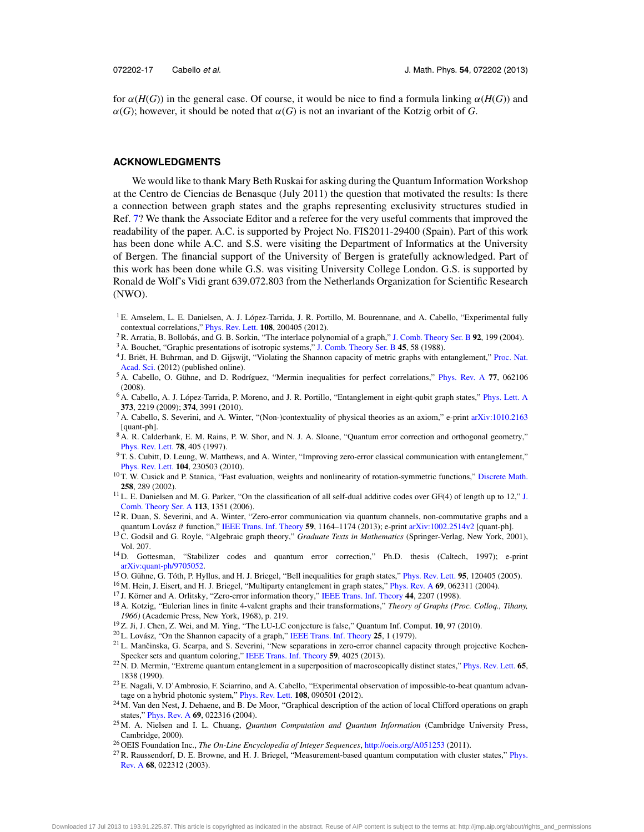<span id="page-17-0"></span>

for  $\alpha(H(G))$  in the general case. Of course, it would be nice to find a formula linking  $\alpha(H(G))$  and  $\alpha(G)$ ; however, it should be noted that  $\alpha(G)$  is not an invariant of the Kotzig orbit of *G*.

### **ACKNOWLEDGMENTS**

We would like to thank Mary Beth Ruskai for asking during the Quantum Information Workshop at the Centro de Ciencias de Benasque (July 2011) the question that motivated the results: Is there a connection between graph states and the graphs representing exclusivity structures studied in Ref. 7? We thank the Associate Editor and a referee for the very useful comments that improved the readability of the paper. A.C. is supported by Project No. FIS2011-29400 (Spain). Part of this work has been done while A.C. and S.S. were visiting the Department of Informatics at the University of Bergen. The financial support of the University of Bergen is gratefully acknowledged. Part of this work has been done while G.S. was visiting University College London. G.S. is supported by Ronald de Wolf's Vidi grant 639.072.803 from the Netherlands Organization for Scientific Research (NWO).

<sup>3</sup> A. Bouchet, "Graphic presentations of isotropic systems," [J. Comb. Theory Ser. B](http://dx.doi.org/10.1016/0095-8956(88)90055-X) **45**, 58 (1988).

- 8 A. R. Calderbank, E. M. Rains, P. W. Shor, and N. J. A. Sloane, "Quantum error correction and orthogonal geometry," [Phys. Rev. Lett.](http://dx.doi.org/10.1103/PhysRevLett.78.405) **78**, 405 (1997).
- <sup>9</sup> T. S. Cubitt, D. Leung, W. Matthews, and A. Winter, "Improving zero-error classical communication with entanglement," [Phys. Rev. Lett.](http://dx.doi.org/10.1103/PhysRevLett.104.230503) **104**, 230503 (2010).
- <sup>10</sup> T. W. Cusick and P. Stanica, "Fast evaluation, weights and nonlinearity of rotation-symmetric functions," [Discrete Math.](http://dx.doi.org/10.1016/S0012-365X(02)00354-0) **258**, 289 (2002).
- $11$  L. E. Danielsen and M. G. Parker, "On the classification of all self-dual additive codes over GF(4) of length up to 12," [J.](http://dx.doi.org/10.1016/j.jcta.2005.12.004) [Comb. Theory Ser. A](http://dx.doi.org/10.1016/j.jcta.2005.12.004) **113**, 1351 (2006).
- $12R$ . Duan, S. Severini, and A. Winter, "Zero-error communication via quantum channels, non-commutative graphs and a quantum Lovász  $\vartheta$  function," [IEEE Trans. Inf. Theory](http://dx.doi.org/10.1109/TIT.2012.2221677) 59, 1164–1174 (2013); e-print [arXiv:1002.2514v2](http://arxiv.org/abs/1002.2514v2) [quant-ph].
- 13C. Godsil and G. Royle, "Algebraic graph theory," *Graduate Texts in Mathematics* (Springer-Verlag, New York, 2001), Vol. 207.
- <sup>14</sup> D. Gottesman, "Stabilizer codes and quantum error correction," Ph.D. thesis (Caltech, 1997); e-print [arXiv:quant-ph/9705052.](http://arxiv.org/abs/quant-ph/9705052)
- <sup>15</sup> O. Gühne, G. Tóth, P. Hyllus, and H. J. Briegel, "Bell inequalities for graph states," [Phys. Rev. Lett.](http://dx.doi.org/10.1103/PhysRevLett.95.120405) **95**, 120405 (2005).
- <sup>16</sup> M. Hein, J. Eisert, and H. J. Briegel, "Multiparty entanglement in graph states," [Phys. Rev. A](http://dx.doi.org/10.1103/PhysRevA.69.062311) **69**, 062311 (2004).
- <sup>17</sup> J. Körner and A. Orlitsky, "Zero-error information theory," [IEEE Trans. Inf. Theory](http://dx.doi.org/10.1109/18.720537) **44**, 2207 (1998).
- <sup>18</sup> A. Kotzig, "Eulerian lines in finite 4-valent graphs and their transformations," *Theory of Graphs (Proc. Colloq., Tihany, 1966)* (Academic Press, New York, 1968), p. 219.
- <sup>19</sup> Z. Ji, J. Chen, Z. Wei, and M. Ying, "The LU-LC conjecture is false," Quantum Inf. Comput. **10**, 97 (2010).
- <sup>20</sup> L. Lovász, "On the Shannon capacity of a graph," [IEEE Trans. Inf. Theory](http://dx.doi.org/10.1109/TIT.1979.1055985) **25**, 1 (1979).
- $21$  L. Mančinska, G. Scarpa, and S. Severini, "New separations in zero-error channel capacity through projective Kochen-Specker sets and quantum coloring," [IEEE Trans. Inf. Theory](http://dx.doi.org/10.1109/TIT.2013.2248031) **59**, 4025 (2013).
- <sup>22</sup> N. D. Mermin, "Extreme quantum entanglement in a superposition of macroscopically distinct states," [Phys. Rev. Lett.](http://dx.doi.org/10.1103/PhysRevLett.65.1838) **65**, 1838 (1990).
- <sup>23</sup> E. Nagali, V. D'Ambrosio, F. Sciarrino, and A. Cabello, "Experimental observation of impossible-to-beat quantum advantage on a hybrid photonic system," [Phys. Rev. Lett.](http://dx.doi.org/10.1103/PhysRevLett.108.090501) **108**, 090501 (2012).
- <sup>24</sup> M. Van den Nest, J. Dehaene, and B. De Moor, "Graphical description of the action of local Clifford operations on graph states," [Phys. Rev. A](http://dx.doi.org/10.1103/PhysRevA.69.022316) **69**, 022316 (2004).
- <sup>25</sup> M. A. Nielsen and I. L. Chuang, *Quantum Computation and Quantum Information* (Cambridge University Press, Cambridge, 2000).
- <sup>26</sup> OEIS Foundation Inc., *The On-Line Encyclopedia of Integer Sequences*, <http://oeis.org/A051253> (2011).
- $27$ R. Raussendorf, D. E. Browne, and H. J. Briegel, "Measurement-based quantum computation with cluster states," [Phys.](http://dx.doi.org/10.1103/PhysRevA.68.022312) [Rev. A](http://dx.doi.org/10.1103/PhysRevA.68.022312) **68**, 022312 (2003).

<sup>&</sup>lt;sup>1</sup> E. Amselem, L. E. Danielsen, A. J. López-Tarrida, J. R. Portillo, M. Bourennane, and A. Cabello, "Experimental fully contextual correlations," [Phys. Rev. Lett.](http://dx.doi.org/10.1103/PhysRevLett.108.200405) **108**, 200405 (2012).

<sup>&</sup>lt;sup>2</sup>R. Arratia, B. Bollobás, and G. B. Sorkin, "The interlace polynomial of a graph," [J. Comb. Theory Ser. B](http://dx.doi.org/10.1016/j.jctb.2004.03.003) 92, 199 (2004).

<sup>&</sup>lt;sup>4</sup> J. Briet, H. Buhrman, and D. Gijswijt, "Violating the Shannon capacity of metric graphs with entanglement," [Proc. Nat.](http://dx.doi.org/10.1073/pnas.1203857110) [Acad. Sci.](http://dx.doi.org/10.1073/pnas.1203857110) (2012) (published online).

<sup>&</sup>lt;sup>5</sup> A. Cabello, O. Gühne, and D. Rodríguez, "Mermin inequalities for perfect correlations," [Phys. Rev. A](http://dx.doi.org/10.1103/PhysRevA.77.062106) 77, 062106 (2008).

<sup>&</sup>lt;sup>6</sup> A. Cabello, A. J. López-Tarrida, P. Moreno, and J. R. Portillo, "Entanglement in eight-qubit graph states," [Phys. Lett. A](http://dx.doi.org/10.1016/j.physleta.2009.04.055) **373**, 2219 (2009); **374**, 3991 (2010).

<sup>7</sup> A. Cabello, S. Severini, and A. Winter, "(Non-)contextuality of physical theories as an axiom," e-print [arXiv:1010.2163](http://arxiv.org/abs/1010.2163) [quant-ph].